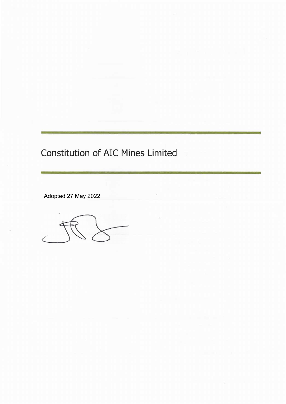# Constitution of AIC Mines Limited

Adopted 27 May 2022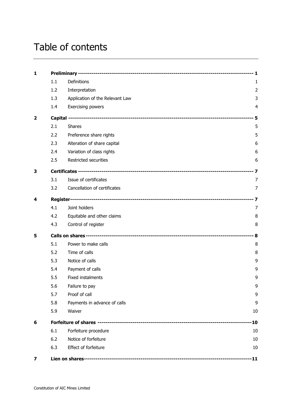# Table of contents

| $\mathbf{1}$            |     |                                 |                |
|-------------------------|-----|---------------------------------|----------------|
|                         | 1.1 | <b>Definitions</b>              | 1              |
|                         | 1.2 | Interpretation                  | $\overline{2}$ |
|                         | 1.3 | Application of the Relevant Law | 3              |
|                         | 1.4 | Exercising powers               | 4              |
| $\overline{\mathbf{2}}$ |     |                                 |                |
|                         | 2.1 | <b>Shares</b>                   | 5              |
|                         | 2.2 | Preference share rights         | 5              |
|                         | 2.3 | Alteration of share capital     | 6              |
|                         | 2.4 | Variation of class rights       | 6              |
|                         | 2.5 | Restricted securities           | 6              |
| 3                       |     |                                 |                |
|                         | 3.1 | Issue of certificates           | 7              |
|                         | 3.2 | Cancellation of certificates    | 7              |
| 4                       |     |                                 |                |
|                         | 4.1 | Joint holders                   | 7              |
|                         | 4.2 | Equitable and other claims      | 8              |
|                         | 4.3 | Control of register             | 8              |
| 5                       |     |                                 |                |
|                         | 5.1 | Power to make calls             | 8              |
|                         | 5.2 | Time of calls                   | 8              |
|                         | 5.3 | Notice of calls                 | 9              |
|                         | 5.4 | Payment of calls                | 9              |
|                         | 5.5 | Fixed instalments               | 9              |
|                         | 5.6 | Failure to pay                  | 9              |
|                         | 5.7 | Proof of call                   | 9              |
|                         | 5.8 | Payments in advance of calls    | 9              |
|                         | 5.9 | Waiver                          | 10             |
| 6                       |     | $-10$                           |                |
|                         | 6.1 | Forfeiture procedure            | 10             |
|                         | 6.2 | Notice of forfeiture            | 10             |
|                         | 6.3 | Effect of forfeiture            | 10             |
| 7                       |     |                                 | $-11$          |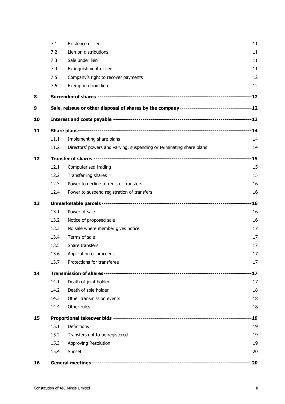|    | 7.1  | Existence of lien                                                                             | 11         |  |
|----|------|-----------------------------------------------------------------------------------------------|------------|--|
|    | 7.2  | Lien on distributions                                                                         | 11         |  |
|    | 7.3  | Sale under lien                                                                               | 11         |  |
|    | 7.4  | Extinguishment of lien                                                                        | 11         |  |
|    | 7.5  | Company's right to recover payments                                                           | 12         |  |
|    | 7.6  | Exemption from lien                                                                           | 12         |  |
| 8  |      |                                                                                               |            |  |
| 9  |      | Sale, reissue or other disposal of shares by the company-----------------------------------12 |            |  |
| 10 |      |                                                                                               |            |  |
| 11 |      |                                                                                               |            |  |
|    | 11.1 | Implementing share plans                                                                      | 14         |  |
|    | 11.2 | Directors' powers and varying, suspending or terminating share plans                          | 14         |  |
| 12 |      |                                                                                               |            |  |
|    | 12.1 | Computerised trading                                                                          | 15         |  |
|    | 12.2 | Transferring shares                                                                           | 15         |  |
|    | 12.3 | Power to decline to register transfers                                                        | 16         |  |
|    | 12.4 | Power to suspend registration of transfers                                                    | 16         |  |
| 13 |      |                                                                                               |            |  |
|    | 13.1 | Power of sale                                                                                 | 16         |  |
|    | 13.2 | Notice of proposed sale                                                                       | 16         |  |
|    | 13.3 | No sale where member gives notice                                                             | 17         |  |
|    | 13.4 | Terms of sale                                                                                 | 17         |  |
|    | 13.5 | Share transfers                                                                               | 17         |  |
|    | 13.6 | Application of proceeds                                                                       | 17         |  |
|    | 13.7 | Protections for transferee                                                                    | 17         |  |
| 14 |      |                                                                                               |            |  |
|    | 14.1 | Death of joint holder                                                                         | 17         |  |
|    | 14.2 | Death of sole holder                                                                          | 18         |  |
|    | 14.3 | Other transmission events                                                                     | 18         |  |
|    | 14.4 | Other rules                                                                                   | 18         |  |
| 15 |      |                                                                                               | $\cdot$ 19 |  |
|    | 15.1 | Definitions                                                                                   | 19         |  |
|    | 15.2 | Transfers not to be registered                                                                | 19         |  |
|    | 15.3 | Approving Resolution                                                                          | 19         |  |
|    | 15.4 | Sunset                                                                                        | 20         |  |
| 16 |      |                                                                                               |            |  |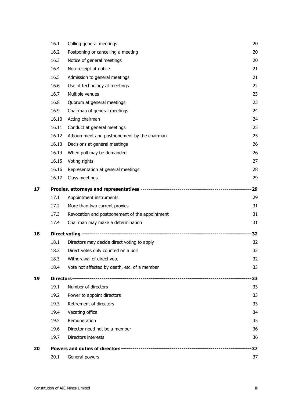|    | 20.1           | General powers                                                                | 37       |
|----|----------------|-------------------------------------------------------------------------------|----------|
| 20 |                |                                                                               | -37      |
|    | 19.7           | Directors interests                                                           | 36       |
|    | 19.6           | Director need not be a member                                                 | 36       |
|    | 19.5           | Remuneration                                                                  | 35       |
|    | 19.4           | Vacating office                                                               | 34       |
|    | 19.3           | Retirement of directors                                                       | 33       |
|    | 19.2           | Power to appoint directors                                                    | 33       |
|    | 19.1           | Number of directors                                                           | 33       |
| 19 |                |                                                                               | -33      |
|    | 18.4           | Vote not affected by death, etc. of a member                                  | 33       |
|    | 18.3           | Withdrawal of direct vote                                                     | 32       |
|    | 18.2           | Direct votes only counted on a poll                                           | 32       |
|    | 18.1           | Directors may decide direct voting to apply                                   | 32       |
| 18 |                |                                                                               | -32      |
|    | 17.4           | Chairman may make a determination                                             | 31       |
|    | 17.3           | Revocation and postponement of the appointment                                | 31       |
|    | 17.2           | More than two current proxies                                                 | 31       |
|    | 17.1           | Appointment instruments                                                       | 29       |
| 17 |                |                                                                               | 29       |
|    |                |                                                                               |          |
|    | 16.17          | Class meetings                                                                | 29       |
|    | 16.16          | Representation at general meetings                                            | 28       |
|    | 16.15          | Voting rights                                                                 | 27       |
|    | 16.14          | When poll may be demanded                                                     | 26       |
|    | 16.13          | Adjournment and postponement by the chairman<br>Decisions at general meetings | 26       |
|    | 16.11<br>16.12 | Conduct at general meetings                                                   | 25<br>25 |
|    | 16.10          | Acting chairman                                                               | 24       |
|    | 16.9           | Chairman of general meetings                                                  | 24       |
|    | 16.8           | Quorum at general meetings                                                    | 23       |
|    | 16.7           | Multiple venues                                                               | 23       |
|    | 16.6           | Use of technology at meetings                                                 | 22       |
|    | 16.5           | Admission to general meetings                                                 | 21       |
|    | 16.4           | Non-receipt of notice                                                         | 21       |
|    | 16.3           | Notice of general meetings                                                    | 20       |
|    | 16.2           | Postponing or cancelling a meeting                                            | 20       |
|    | 16.1           | Calling general meetings                                                      | 20       |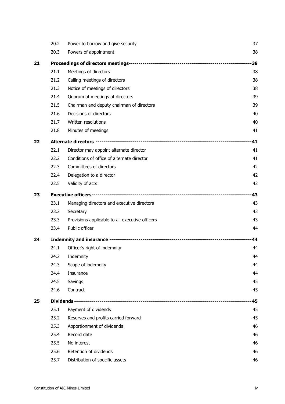| 20.2 | Power to borrow and give security               | 37             |
|------|-------------------------------------------------|----------------|
| 20.3 | Powers of appointment                           | 38             |
|      |                                                 |                |
| 21.1 | Meetings of directors                           | 38             |
| 21.2 | Calling meetings of directors                   | 38             |
| 21.3 | Notice of meetings of directors                 | 38             |
| 21.4 | Quorum at meetings of directors                 | 39             |
| 21.5 | Chairman and deputy chairman of directors       | 39             |
| 21.6 | Decisions of directors                          | 40             |
| 21.7 | Written resolutions                             | 40             |
| 21.8 | Minutes of meetings                             | 41             |
|      |                                                 | $-41$          |
| 22.1 | Director may appoint alternate director         | 41             |
| 22.2 | Conditions of office of alternate director      | 41             |
| 22.3 | Committees of directors                         | 42             |
| 22.4 | Delegation to a director                        | 42             |
| 22.5 | Validity of acts                                | 42             |
|      |                                                 |                |
| 23.1 | Managing directors and executive directors      | 43             |
| 23.2 | Secretary                                       | 43             |
| 23.3 | Provisions applicable to all executive officers | 43             |
| 23.4 | Public officer                                  | 44             |
|      |                                                 | 44             |
| 24.1 | Officer's right of indemnity                    | 44             |
|      |                                                 | 44             |
| 24.3 | Scope of indemnity                              | 44             |
| 24.4 | Insurance                                       | 44             |
| 24.5 | Savings                                         | 45             |
| 24.6 | Contract                                        | 45             |
|      |                                                 | 45             |
| 25.1 | Payment of dividends                            | 45             |
| 25.2 | Reserves and profits carried forward            | 45             |
| 25.3 | Apportionment of dividends                      | 46             |
| 25.4 | Record date                                     | 46             |
| 25.5 | No interest                                     | 46             |
| 25.6 | Retention of dividends                          | 46             |
| 25.7 | Distribution of specific assets                 | 46             |
|      |                                                 | 24.2 Indemnity |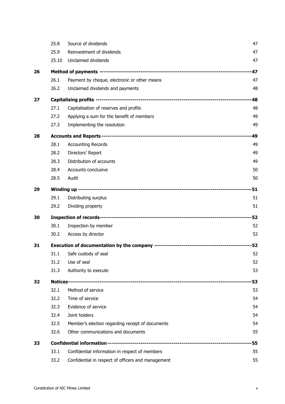|    | 25.8  | Source of dividends                                | 47    |
|----|-------|----------------------------------------------------|-------|
|    | 25.9  | Reinvestment of dividends                          | 47    |
|    | 25.10 | Unclaimed dividends                                | 47    |
| 26 |       |                                                    | $-47$ |
|    | 26.1  | Payment by cheque, electronic or other means       | 47    |
|    | 26.2  | Unclaimed dividends and payments                   | 48    |
| 27 |       |                                                    | -48   |
|    | 27.1  | Capitalisation of reserves and profits             | 48    |
|    | 27.2  | Applying a sum for the benefit of members          | 49    |
|    | 27.3  | Implementing the resolution                        | 49    |
| 28 |       |                                                    | 49    |
|    | 28.1  | <b>Accounting Records</b>                          | 49    |
|    | 28.2  | Directors' Report                                  | 49    |
|    | 28.3  | Distribution of accounts                           | 49    |
|    | 28.4  | Accounts conclusive                                | 50    |
|    | 28.5  | Audit                                              | 50    |
| 29 |       |                                                    | $-51$ |
|    | 29.1  | Distributing surplus                               | 51    |
|    | 29.2  | Dividing property                                  | 51    |
| 30 |       |                                                    | $-52$ |
|    | 30.1  | Inspection by member                               | 52    |
|    | 30.2  | Access by director                                 | 52    |
| 31 |       |                                                    |       |
|    | 31.1  | Safe custody of seal                               | 52    |
|    | 31.2  | Use of seal                                        | 52    |
|    | 31.3  | Authority to execute                               | 53    |
| 32 |       |                                                    | 53    |
|    | 32.1  | Method of service                                  | 53    |
|    | 32.2  | Time of service                                    | 54    |
|    | 32.3  | Evidence of service                                | 54    |
|    | 32.4  | Joint holders                                      | 54    |
|    | 32.5  | Member's election regarding receipt of documents   | 54    |
|    | 32.6  | Other communications and documents                 | 55    |
| 33 |       |                                                    | 55    |
|    | 33.1  | Confidential information in respect of members     | 55    |
|    | 33.2  | Confidential in respect of officers and management | 55    |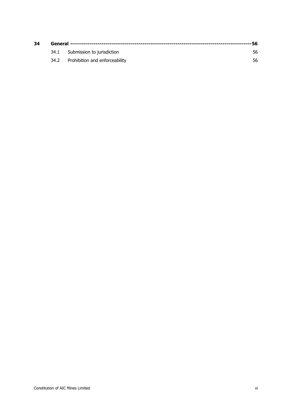| 34 |  |                                     |     |
|----|--|-------------------------------------|-----|
|    |  | 34.1 Submission to jurisdiction     | 56. |
|    |  | 34.2 Prohibition and enforceability | 56. |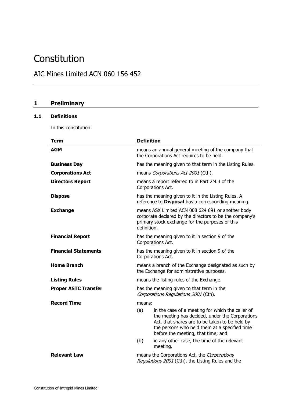## **Constitution**

## AIC Mines Limited ACN 060 156 452

## **1 Preliminary**

## **1.1 Definitions**

In this constitution:

| <b>Term</b>                 | <b>Definition</b>                                                                                                                                                                                                                                   |  |
|-----------------------------|-----------------------------------------------------------------------------------------------------------------------------------------------------------------------------------------------------------------------------------------------------|--|
| <b>AGM</b>                  | means an annual general meeting of the company that<br>the Corporations Act requires to be held.                                                                                                                                                    |  |
| <b>Business Day</b>         | has the meaning given to that term in the Listing Rules.                                                                                                                                                                                            |  |
| <b>Corporations Act</b>     | means Corporations Act 2001 (Cth).                                                                                                                                                                                                                  |  |
| <b>Directors Report</b>     | means a report referred to in Part 2M.3 of the<br>Corporations Act.                                                                                                                                                                                 |  |
| <b>Dispose</b>              | has the meaning given to it in the Listing Rules. A<br>reference to Disposal has a corresponding meaning.                                                                                                                                           |  |
| <b>Exchange</b>             | means ASX Limited ACN 008 624 691 or another body<br>corporate declared by the directors to be the company's<br>primary stock exchange for the purposes of this<br>definition.                                                                      |  |
| <b>Financial Report</b>     | has the meaning given to it in section 9 of the<br>Corporations Act.                                                                                                                                                                                |  |
| <b>Financial Statements</b> | has the meaning given to it in section 9 of the<br>Corporations Act.                                                                                                                                                                                |  |
| <b>Home Branch</b>          | means a branch of the Exchange designated as such by<br>the Exchange for administrative purposes.                                                                                                                                                   |  |
| <b>Listing Rules</b>        | means the listing rules of the Exchange.                                                                                                                                                                                                            |  |
| <b>Proper ASTC Transfer</b> | has the meaning given to that term in the<br>Corporations Regulations 2001 (Cth).                                                                                                                                                                   |  |
| <b>Record Time</b>          | means:                                                                                                                                                                                                                                              |  |
|                             | (a)<br>in the case of a meeting for which the caller of<br>the meeting has decided, under the Corporations<br>Act, that shares are to be taken to be held by<br>the persons who held them at a specified time<br>before the meeting, that time; and |  |
|                             | (b)<br>in any other case, the time of the relevant<br>meeting.                                                                                                                                                                                      |  |
| <b>Relevant Law</b>         | means the Corporations Act, the Corporations<br>Regulations 2001 (Cth), the Listing Rules and the                                                                                                                                                   |  |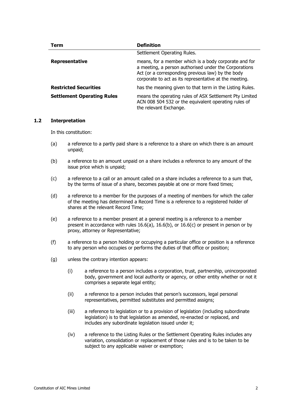| <b>Term</b>                       | <b>Definition</b>                                                                                                                                                                                                             |
|-----------------------------------|-------------------------------------------------------------------------------------------------------------------------------------------------------------------------------------------------------------------------------|
|                                   | Settlement Operating Rules.                                                                                                                                                                                                   |
| Representative                    | means, for a member which is a body corporate and for<br>a meeting, a person authorised under the Corporations<br>Act (or a corresponding previous law) by the body<br>corporate to act as its representative at the meeting. |
| <b>Restricted Securities</b>      | has the meaning given to that term in the Listing Rules.                                                                                                                                                                      |
| <b>Settlement Operating Rules</b> | means the operating rules of ASX Settlement Pty Limited<br>ACN 008 504 532 or the equivalent operating rules of<br>the relevant Exchange.                                                                                     |

#### **1.2 Interpretation**

In this constitution:

- (a) a reference to a partly paid share is a reference to a share on which there is an amount unpaid;
- (b) a reference to an amount unpaid on a share includes a reference to any amount of the issue price which is unpaid;
- (c) a reference to a call or an amount called on a share includes a reference to a sum that, by the terms of issue of a share, becomes payable at one or more fixed times;
- (d) a reference to a member for the purposes of a meeting of members for which the caller of the meeting has determined a Record Time is a reference to a registered holder of shares at the relevant Record Time;
- (e) a reference to a member present at a general meeting is a reference to a member present in accordance with rules [16.6\(a\),](#page-28-0) [16.6\(b\),](#page-28-1) or [16.6\(c\)](#page-28-2) or present in person or by proxy, attorney or Representative;
- (f) a reference to a person holding or occupying a particular office or position is a reference to any person who occupies or performs the duties of that office or position;
- (g) unless the contrary intention appears:
	- (i) a reference to a person includes a corporation, trust, partnership, unincorporated body, government and local authority or agency, or other entity whether or not it comprises a separate legal entity;
	- (ii) a reference to a person includes that person's successors, legal personal representatives, permitted substitutes and permitted assigns;
	- (iii) a reference to legislation or to a provision of legislation (including subordinate legislation) is to that legislation as amended, re-enacted or replaced, and includes any subordinate legislation issued under it;
	- (iv) a reference to the Listing Rules or the Settlement Operating Rules includes any variation, consolidation or replacement of those rules and is to be taken to be subject to any applicable waiver or exemption;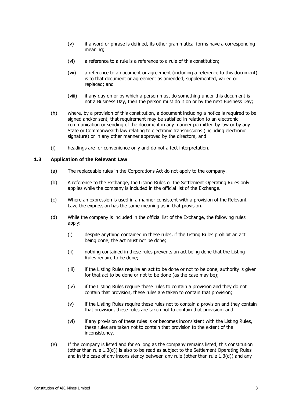- (v) if a word or phrase is defined, its other grammatical forms have a corresponding meaning;
- (vi) a reference to a rule is a reference to a rule of this constitution;
- (vii) a reference to a document or agreement (including a reference to this document) is to that document or agreement as amended, supplemented, varied or replaced; and
- (viii) if any day on or by which a person must do something under this document is not a Business Day, then the person must do it on or by the next Business Day;
- (h) where, by a provision of this constitution, a document including a notice is required to be signed and/or sent, that requirement may be satisfied in relation to an electronic communication or sending of the document in any manner permitted by law or by any State or Commonwealth law relating to electronic transmissions (including electronic signature) or in any other manner approved by the directors; and
- (i) headings are for convenience only and do not affect interpretation.

#### **1.3 Application of the Relevant Law**

- (a) The replaceable rules in the Corporations Act do not apply to the company.
- (b) A reference to the Exchange, the Listing Rules or the Settlement Operating Rules only applies while the company is included in the official list of the Exchange.
- (c) Where an expression is used in a manner consistent with a provision of the Relevant Law, the expression has the same meaning as in that provision.
- <span id="page-9-0"></span>(d) While the company is included in the official list of the Exchange, the following rules apply:
	- (i) despite anything contained in these rules, if the Listing Rules prohibit an act being done, the act must not be done;
	- (ii) nothing contained in these rules prevents an act being done that the Listing Rules require to be done;
	- (iii) if the Listing Rules require an act to be done or not to be done, authority is given for that act to be done or not to be done (as the case may be);
	- (iv) if the Listing Rules require these rules to contain a provision and they do not contain that provision, these rules are taken to contain that provision;
	- (v) if the Listing Rules require these rules not to contain a provision and they contain that provision, these rules are taken not to contain that provision; and
	- (vi) if any provision of these rules is or becomes inconsistent with the Listing Rules, these rules are taken not to contain that provision to the extent of the inconsistency.
- (e) If the company is listed and for so long as the company remains listed, this constitution (other than rule [1.3\(d\)\)](#page-9-0) is also to be read as subject to the Settlement Operating Rules and in the case of any inconsistency between any rule (other than rule [1.3\(d\)\)](#page-9-0) and any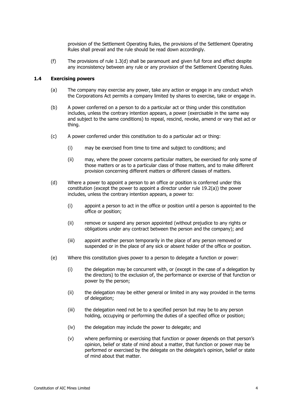provision of the Settlement Operating Rules, the provisions of the Settlement Operating Rules shall prevail and the rule should be read down accordingly.

(f) The provisions of rule [1.3\(d\)](#page-9-0) shall be paramount and given full force and effect despite any inconsistency between any rule or any provision of the Settlement Operating Rules.

#### **1.4 Exercising powers**

- (a) The company may exercise any power, take any action or engage in any conduct which the Corporations Act permits a company limited by shares to exercise, take or engage in.
- (b) A power conferred on a person to do a particular act or thing under this constitution includes, unless the contrary intention appears, a power (exercisable in the same way and subject to the same conditions) to repeal, rescind, revoke, amend or vary that act or thing.
- (c) A power conferred under this constitution to do a particular act or thing:
	- (i) may be exercised from time to time and subject to conditions; and
	- (ii) may, where the power concerns particular matters, be exercised for only some of those matters or as to a particular class of those matters, and to make different provision concerning different matters or different classes of matters.
- (d) Where a power to appoint a person to an office or position is conferred under this constitution (except the power to appoint a director under rule [19.2\(a\)\)](#page-39-0) the power includes, unless the contrary intention appears, a power to:
	- (i) appoint a person to act in the office or position until a person is appointed to the office or position;
	- (ii) remove or suspend any person appointed (without prejudice to any rights or obligations under any contract between the person and the company); and
	- (iii) appoint another person temporarily in the place of any person removed or suspended or in the place of any sick or absent holder of the office or position.
- (e) Where this constitution gives power to a person to delegate a function or power:
	- (i) the delegation may be concurrent with, or (except in the case of a delegation by the directors) to the exclusion of, the performance or exercise of that function or power by the person;
	- (ii) the delegation may be either general or limited in any way provided in the terms of delegation;
	- (iii) the delegation need not be to a specified person but may be to any person holding, occupying or performing the duties of a specified office or position;
	- (iv) the delegation may include the power to delegate; and
	- (v) where performing or exercising that function or power depends on that person's opinion, belief or state of mind about a matter, that function or power may be performed or exercised by the delegate on the delegate's opinion, belief or state of mind about that matter.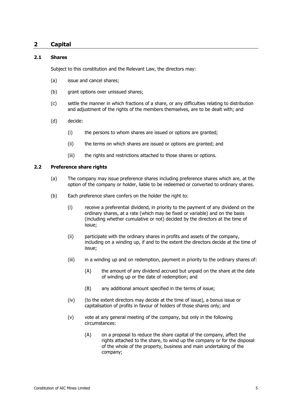## **2 Capital**

#### **2.1 Shares**

Subject to this constitution and the Relevant Law, the directors may:

- (a) issue and cancel shares;
- (b) grant options over unissued shares;
- (c) settle the manner in which fractions of a share, or any difficulties relating to distribution and adjustment of the rights of the members themselves, are to be dealt with; and
- (d) decide:
	- (i) the persons to whom shares are issued or options are granted;
	- (ii) the terms on which shares are issued or options are granted; and
	- (iii) the rights and restrictions attached to those shares or options.

#### **2.2 Preference share rights**

- (a) The company may issue preference shares including preference shares which are, at the option of the company or holder, liable to be redeemed or converted to ordinary shares.
- <span id="page-11-0"></span>(b) Each preference share confers on the holder the right to:
	- (i) receive a preferential dividend, in priority to the payment of any dividend on the ordinary shares, at a rate (which may be fixed or variable) and on the basis (including whether cumulative or not) decided by the directors at the time of issue;
	- (ii) participate with the ordinary shares in profits and assets of the company, including on a winding up, if and to the extent the directors decide at the time of issue;
	- (iii) in a winding up and on redemption, payment in priority to the ordinary shares of:
		- (A) the amount of any dividend accrued but unpaid on the share at the date of winding up or the date of redemption; and
		- (B) any additional amount specified in the terms of issue;
	- (iv) (to the extent directors may decide at the time of issue), a bonus issue or capitalisation of profits in favour of holders of those shares only; and
	- (v) vote at any general meeting of the company, but only in the following circumstances:
		- (A) on a proposal to reduce the share capital of the company, affect the rights attached to the share, to wind up the company or for the disposal of the whole of the property, business and main undertaking of the company;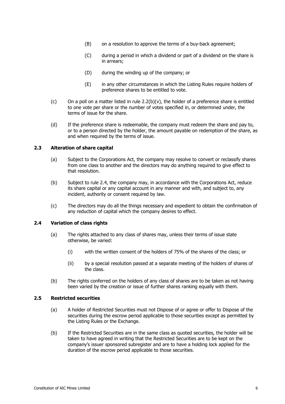- (B) on a resolution to approve the terms of a buy-back agreement;
- (C) during a period in which a dividend or part of a dividend on the share is in arrears;
- (D) during the winding up of the company; or
- (E) in any other circumstances in which the Listing Rules require holders of preference shares to be entitled to vote.
- (c) On a poll on a matter listed in rule  $2.2(b)(v)$ , the holder of a preference share is entitled to one vote per share or the number of votes specified in, or determined under, the terms of issue for the share.
- (d) If the preference share is redeemable, the company must redeem the share and pay to, or to a person directed by the holder, the amount payable on redemption of the share, as and when required by the terms of issue.

#### **2.3 Alteration of share capital**

- (a) Subject to the Corporations Act, the company may resolve to convert or reclassify shares from one class to another and the directors may do anything required to give effect to that resolution.
- (b) Subject to rule [2.4,](#page-12-0) the company may, in accordance with the Corporations Act, reduce its share capital or any capital account in any manner and with, and subject to, any incident, authority or consent required by law.
- (c) The directors may do all the things necessary and expedient to obtain the confirmation of any reduction of capital which the company desires to effect.

## <span id="page-12-0"></span>**2.4 Variation of class rights**

- (a) The rights attached to any class of shares may, unless their terms of issue state otherwise, be varied:
	- (i) with the written consent of the holders of 75% of the shares of the class; or
	- (ii) by a special resolution passed at a separate meeting of the holders of shares of the class.
- (b) The rights conferred on the holders of any class of shares are to be taken as not having been varied by the creation or issue of further shares ranking equally with them.

#### **2.5 Restricted securities**

- (a) A holder of Restricted Securities must not Dispose of or agree or offer to Dispose of the securities during the escrow period applicable to those securities except as permitted by the Listing Rules or the Exchange.
- (b) If the Restricted Securities are in the same class as quoted securities, the holder will be taken to have agreed in writing that the Restricted Securities are to be kept on the company's issuer sponsored subregister and are to have a holding lock applied for the duration of the escrow period applicable to those securities.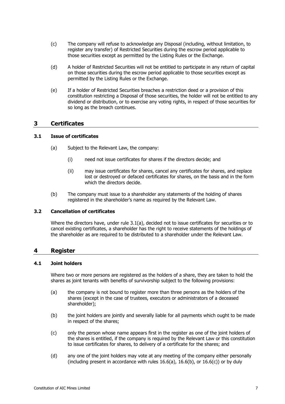- (c) The company will refuse to acknowledge any Disposal (including, without limitation, to register any transfer) of Restricted Securities during the escrow period applicable to those securities except as permitted by the Listing Rules or the Exchange.
- (d) A holder of Restricted Securities will not be entitled to participate in any return of capital on those securities during the escrow period applicable to those securities except as permitted by the Listing Rules or the Exchange.
- (e) If a holder of Restricted Securities breaches a restriction deed or a provision of this constitution restricting a Disposal of those securities, the holder will not be entitled to any dividend or distribution, or to exercise any voting rights, in respect of those securities for so long as the breach continues.

## **3 Certificates**

## <span id="page-13-0"></span>**3.1 Issue of certificates**

- (a) Subject to the Relevant Law, the company:
	- (i) need not issue certificates for shares if the directors decide; and
	- (ii) may issue certificates for shares, cancel any certificates for shares, and replace lost or destroyed or defaced certificates for shares, on the basis and in the form which the directors decide.
- (b) The company must issue to a shareholder any statements of the holding of shares registered in the shareholder's name as required by the Relevant Law.

## **3.2 Cancellation of certificates**

Where the directors have, under rule [3.1\(a\),](#page-13-0) decided not to issue certificates for securities or to cancel existing certificates, a shareholder has the right to receive statements of the holdings of the shareholder as are required to be distributed to a shareholder under the Relevant Law.

## **4 Register**

#### <span id="page-13-1"></span>**4.1 Joint holders**

Where two or more persons are registered as the holders of a share, they are taken to hold the shares as joint tenants with benefits of survivorship subject to the following provisions:

- (a) the company is not bound to register more than three persons as the holders of the shares (except in the case of trustees, executors or administrators of a deceased shareholder);
- (b) the joint holders are jointly and severally liable for all payments which ought to be made in respect of the shares;
- (c) only the person whose name appears first in the register as one of the joint holders of the shares is entitled, if the company is required by the Relevant Law or this constitution to issue certificates for shares, to delivery of a certificate for the shares; and
- (d) any one of the joint holders may vote at any meeting of the company either personally (including present in accordance with rules  $16.6(a)$ ,  $16.6(b)$ , or  $16.6(c)$ ) or by duly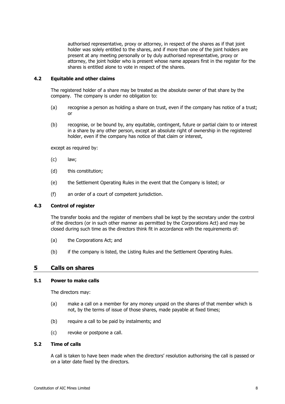authorised representative, proxy or attorney, in respect of the shares as if that joint holder was solely entitled to the shares, and if more than one of the joint holders are present at any meeting personally or by duly authorised representative, proxy or attorney, the joint holder who is present whose name appears first in the register for the shares is entitled alone to vote in respect of the shares.

#### **4.2 Equitable and other claims**

The registered holder of a share may be treated as the absolute owner of that share by the company. The company is under no obligation to:

- (a) recognise a person as holding a share on trust, even if the company has notice of a trust; or
- (b) recognise, or be bound by, any equitable, contingent, future or partial claim to or interest in a share by any other person, except an absolute right of ownership in the registered holder, even if the company has notice of that claim or interest,

except as required by:

- (c) law;
- (d) this constitution;
- (e) the Settlement Operating Rules in the event that the Company is listed; or
- (f) an order of a court of competent jurisdiction.

#### **4.3 Control of register**

The transfer books and the register of members shall be kept by the secretary under the control of the directors (or in such other manner as permitted by the Corporations Act) and may be closed during such time as the directors think fit in accordance with the requirements of:

- (a) the Corporations Act; and
- (b) if the company is listed, the Listing Rules and the Settlement Operating Rules.

## <span id="page-14-0"></span>**5 Calls on shares**

#### **5.1 Power to make calls**

The directors may:

- (a) make a call on a member for any money unpaid on the shares of that member which is not, by the terms of issue of those shares, made payable at fixed times;
- (b) require a call to be paid by instalments; and
- (c) revoke or postpone a call.

## **5.2 Time of calls**

A call is taken to have been made when the directors' resolution authorising the call is passed or on a later date fixed by the directors.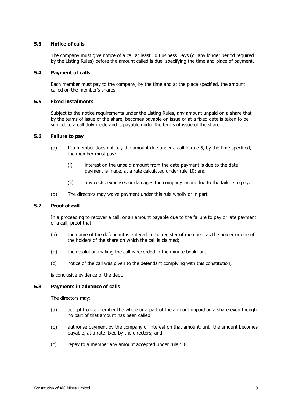#### **5.3 Notice of calls**

The company must give notice of a call at least 30 Business Days (or any longer period required by the Listing Rules) before the amount called is due, specifying the time and place of payment.

#### **5.4 Payment of calls**

Each member must pay to the company, by the time and at the place specified, the amount called on the member's shares.

#### **5.5 Fixed instalments**

Subject to the notice requirements under the Listing Rules, any amount unpaid on a share that, by the terms of issue of the share, becomes payable on issue or at a fixed date is taken to be subject to a call duly made and is payable under the terms of issue of the share.

#### **5.6 Failure to pay**

- (a) If a member does not pay the amount due under a call in rule [5,](#page-14-0) by the time specified, the member must pay:
	- (i) interest on the unpaid amount from the date payment is due to the date payment is made, at a rate calculated under rule [10;](#page-19-0) and
	- (ii) any costs, expenses or damages the company incurs due to the failure to pay.
- (b) The directors may waive payment under this rule wholly or in part.

#### **5.7 Proof of call**

In a proceeding to recover a call, or an amount payable due to the failure to pay or late payment of a call, proof that:

- (a) the name of the defendant is entered in the register of members as the holder or one of the holders of the share on which the call is claimed;
- (b) the resolution making the call is recorded in the minute book; and
- (c) notice of the call was given to the defendant complying with this constitution,

is conclusive evidence of the debt.

#### <span id="page-15-0"></span>**5.8 Payments in advance of calls**

The directors may:

- (a) accept from a member the whole or a part of the amount unpaid on a share even though no part of that amount has been called;
- (b) authorise payment by the company of interest on that amount, until the amount becomes payable, at a rate fixed by the directors; and
- (c) repay to a member any amount accepted under rule [5.8.](#page-15-0)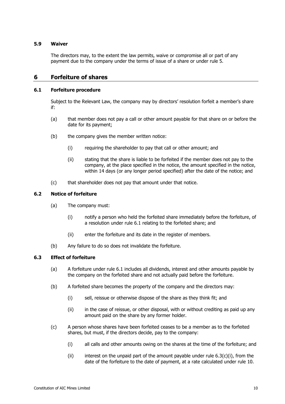#### **5.9 Waiver**

The directors may, to the extent the law permits, waive or compromise all or part of any payment due to the company under the terms of issue of a share or under rule [5.](#page-14-0)

## **6 Forfeiture of shares**

#### <span id="page-16-0"></span>**6.1 Forfeiture procedure**

Subject to the Relevant Law, the company may by directors' resolution forfeit a member's share if:

- (a) that member does not pay a call or other amount payable for that share on or before the date for its payment;
- (b) the company gives the member written notice:
	- (i) requiring the shareholder to pay that call or other amount; and
	- (ii) stating that the share is liable to be forfeited if the member does not pay to the company, at the place specified in the notice, the amount specified in the notice, within 14 days (or any longer period specified) after the date of the notice; and
- (c) that shareholder does not pay that amount under that notice.

#### **6.2 Notice of forfeiture**

- (a) The company must:
	- (i) notify a person who held the forfeited share immediately before the forfeiture, of a resolution under rule [6.1](#page-16-0) relating to the forfeited share; and
	- (ii) enter the forfeiture and its date in the register of members.
- (b) Any failure to do so does not invalidate the forfeiture.

#### **6.3 Effect of forfeiture**

- (a) A forfeiture under rule [6.1](#page-16-0) includes all dividends, interest and other amounts payable by the company on the forfeited share and not actually paid before the forfeiture.
- <span id="page-16-2"></span>(b) A forfeited share becomes the property of the company and the directors may:
	- (i) sell, reissue or otherwise dispose of the share as they think fit; and
	- (ii) in the case of reissue, or other disposal, with or without crediting as paid up any amount paid on the share by any former holder.
- <span id="page-16-1"></span>(c) A person whose shares have been forfeited ceases to be a member as to the forfeited shares, but must, if the directors decide, pay to the company:
	- (i) all calls and other amounts owing on the shares at the time of the forfeiture; and
	- (ii) interest on the unpaid part of the amount payable under rule  $6.3(c)(i)$ , from the date of the forfeiture to the date of payment, at a rate calculated under rule [10.](#page-19-0)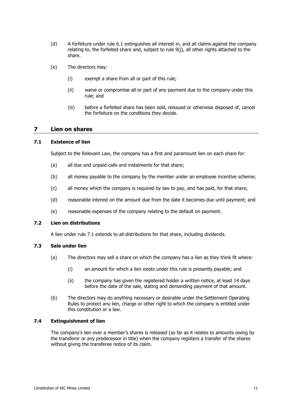- <span id="page-17-2"></span>(d) A forfeiture under rule 6.1 extinguishes all interest in, and all claims against the company relating to, the forfeit[ed sh](#page-16-0)are and, subject to rule [9\(j\),](#page-19-1) all other rights attached to the share.
- (e) The directors may:
	- (i) exempt a share from all or part of this rule;
	- (ii) waive or compromise all or part of any payment due to the company under this rule; and
	- (iii) before a forfeited share has been sold, reissued or otherwise disposed of, cancel the forfeiture on the conditions they decide.

## **7 Lien on shares**

#### <span id="page-17-0"></span>**7.1 Existence of lien**

Subject to the Relevant Law, the company has a first and paramount lien on each share for:

- (a) all due and unpaid calls and instalments for that share;
- (b) all money payable to the company by the member under an employee incentive scheme;
- (c) all money which the company is required by law to pay, and has paid, for that share;
- (d) reasonable interest on the amount due from the date it becomes due until payment; and
- (e) reasonable expenses of the company relating to the default on payment.

## **7.2 Lien on distributions**

A lien under rule [7.1](#page-17-0) extends to all distributions for that share, including dividends.

## <span id="page-17-1"></span>**7.3 Sale under lien**

- (a) The directors may sell a share on which the company has a lien as they think fit where:
	- (i) an amount for which a lien exists under this rule is presently payable; and
	- (ii) the company has given the registered holder a written notice, at least 14 days before the date of the sale, stating and demanding payment of that amount.
- (b) The directors may do anything necessary or desirable under the Settlement Operating Rules to protect any lien, charge or other right to which the company is entitled under this constitution or a law.

#### **7.4 Extinguishment of lien**

The company's lien over a member's shares is released (so far as it relates to amounts owing by the transferor or any predecessor in title) when the company registers a transfer of the shares without giving the transferee notice of its claim.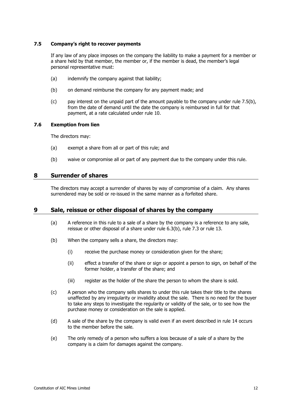#### **7.5 Company's right to recover payments**

If any law of any place imposes on the company the liability to make a payment for a member or a share held by that member, the member or, if the member is dead, the member's legal personal representative must:

- <span id="page-18-0"></span>(a) indemnify the company against that liability;
- (b) on demand reimburse the company for any payment made; and
- (c) pay interest on the unpaid part of the amount payable to the company under rule [7.5\(b\),](#page-18-0) from the date of demand until the date the company is reimbursed in full for that payment, at a rate calculated under rule [10.](#page-19-0)

## **7.6 Exemption from lien**

The directors may:

- (a) exempt a share from all or part of this rule; and
- (b) waive or compromise all or part of any payment due to the company under this rule.

## **8 Surrender of shares**

The directors may accept a surrender of shares by way of compromise of a claim. Any shares surrendered may be sold or re-issued in the same manner as a forfeited share.

## **9 Sale, reissue or other disposal of shares by the company**

- (a) A reference in this rule to a sale of a share by the company is a reference to any sale, reissue or other disposal of a share under rule [6.3\(b\),](#page-16-2) rule [7.3](#page-17-1) or rule [13.](#page-22-0)
- (b) When the company sells a share, the directors may:
	- (i) receive the purchase money or consideration given for the share;
	- (ii) effect a transfer of the share or sign or appoint a person to sign, on behalf of the former holder, a transfer of the share; and
	- (iii) register as the holder of the share the person to whom the share is sold.
- (c) A person who the company sells shares to under this rule takes their title to the shares unaffected by any irregularity or invalidity about the sale. There is no need for the buyer to take any steps to investigate the regularity or validity of the sale, or to see how the purchase money or consideration on the sale is applied.
- (d) A sale of the share by the company is valid even if an event described in rule [14](#page-23-0) occurs to the member before the sale.
- (e) The only remedy of a person who suffers a loss because of a sale of a share by the company is a claim for damages against the company.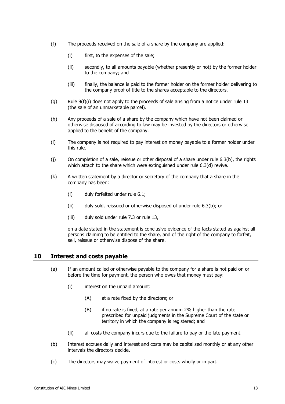- <span id="page-19-2"></span>(f) The proceeds received on the sale of a share by the company are applied:
	- (i) first, to the expenses of the sale;
	- (ii) secondly, to all amounts payable (whether presently or not) by the former holder to the company; and
	- (iii) finally, the balance is paid to the former holder on the former holder delivering to the company proof of title to the shares acceptable to the directors.
- (g) Rule  $9(f)(i)$  does not apply to the proceeds of sale arising from a notice under rule [13](#page-22-0) (the sale of an unmarketable parcel).
- (h) Any proceeds of a sale of a share by the company which have not been claimed or otherwise disposed of according to law may be invested by the directors or otherwise applied to the benefit of the company.
- (i) The company is not required to pay interest on money payable to a former holder under this rule.
- <span id="page-19-1"></span>(j) On completion of a sale, reissue or other disposal of a share under rule [6.3\(b\),](#page-16-2) the rights which attach to the share which were extinguished under rule [6.3\(d\)](#page-17-2) revive.
- (k) A written statement by a director or secretary of the company that a share in the company has been:
	- (i) duly forfeited under rule [6.1;](#page-16-0)
	- (ii) duly sold, reissued or otherwise disposed of under rule [6.3\(b\);](#page-16-2) or
	- (iii) duly sold under rule [7.3](#page-17-1) or rule [13,](#page-22-0)

on a date stated in the statement is conclusive evidence of the facts stated as against all persons claiming to be entitled to the share, and of the right of the company to forfeit, sell, reissue or otherwise dispose of the share.

## <span id="page-19-0"></span>**10 Interest and costs payable**

- (a) If an amount called or otherwise payable to the company for a share is not paid on or before the time for payment, the person who owes that money must pay:
	- (i) interest on the unpaid amount:
		- (A) at a rate fixed by the directors; or
		- (B) if no rate is fixed, at a rate per annum 2% higher than the rate prescribed for unpaid judgments in the Supreme Court of the state or territory in which the company is registered; and
	- (ii) all costs the company incurs due to the failure to pay or the late payment.
- (b) Interest accrues daily and interest and costs may be capitalised monthly or at any other intervals the directors decide.
- (c) The directors may waive payment of interest or costs wholly or in part.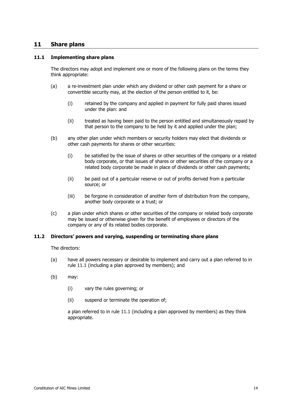## **11 Share plans**

#### <span id="page-20-0"></span>**11.1 Implementing share plans**

The directors may adopt and implement one or more of the following plans on the terms they think appropriate:

- (a) a re-investment plan under which any dividend or other cash payment for a share or convertible security may, at the election of the person entitled to it, be:
	- (i) retained by the company and applied in payment for fully paid shares issued under the plan: and
	- (ii) treated as having been paid to the person entitled and simultaneously repaid by that person to the company to be held by it and applied under the plan;
- (b) any other plan under which members or security holders may elect that dividends or other cash payments for shares or other securities:
	- (i) be satisfied by the issue of shares or other securities of the company or a related body corporate, or that issues of shares or other securities of the company or a related body corporate be made in place of dividends or other cash payments;
	- (ii) be paid out of a particular reserve or out of profits derived from a particular source; or
	- (iii) be forgone in consideration of another form of distribution from the company, another body corporate or a trust; or
- (c) a plan under which shares or other securities of the company or related body corporate may be issued or otherwise given for the benefit of employees or directors of the company or any of its related bodies corporate.

#### **11.2 Directors' powers and varying, suspending or terminating share plans**

The directors:

- (a) have all powers necessary or desirable to implement and carry out a plan referred to in rule [11.1](#page-20-0) (including a plan approved by members); and
- (b) may:
	- (i) vary the rules governing; or
	- (ii) suspend or terminate the operation of;

a plan referred to in rule [11.1](#page-20-0) (including a plan approved by members) as they think appropriate.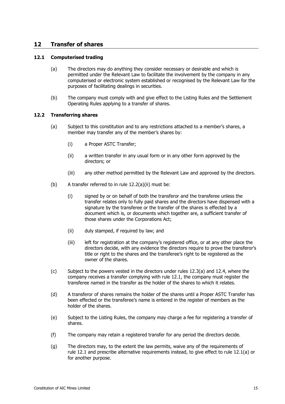## **12 Transfer of shares**

#### <span id="page-21-2"></span><span id="page-21-1"></span>**12.1 Computerised trading**

- (a) The directors may do anything they consider necessary or desirable and which is permitted under the Relevant Law to facilitate the involvement by the company in any computerised or electronic system established or recognised by the Relevant Law for the purposes of facilitating dealings in securities.
- (b) The company must comply with and give effect to the Listing Rules and the Settlement Operating Rules applying to a transfer of shares.

#### **12.2 Transferring shares**

- <span id="page-21-0"></span>(a) Subject to this constitution and to any restrictions attached to a member's shares, a member may transfer any of the member's shares by:
	- (i) a Proper ASTC Transfer;
	- (ii) a written transfer in any usual form or in any other form approved by the directors; or
	- (iii) any other method permitted by the Relevant Law and approved by the directors.
- <span id="page-21-4"></span>(b) A transfer referred to in rule  $12.2(a)(ii)$  must be:
	- (i) signed by or on behalf of both the transferor and the transferee unless the transfer relates only to fully paid shares and the directors have dispensed with a signature by the transferee or the transfer of the shares is effected by a document which is, or documents which together are, a sufficient transfer of those shares under the Corporations Act;
	- (ii) duly stamped, if required by law; and
	- (iii) left for registration at the company's registered office, or at any other place the directors decide, with any evidence the directors require to prove the transferor's title or right to the shares and the transferee's right to be registered as the owner of the shares.
- <span id="page-21-3"></span>(c) Subject to the powers vested in the directors under rules [12.3\(a\)](#page-22-1) and [12.4,](#page-22-2) where the company receives a transfer complying with rule [12.1,](#page-21-1) the company must register the transferee named in the transfer as the holder of the shares to which it relates.
- (d) A transferor of shares remains the holder of the shares until a Proper ASTC Transfer has been effected or the transferee's name is entered in the register of members as the holder of the shares.
- (e) Subject to the Listing Rules, the company may charge a fee for registering a transfer of shares.
- (f) The company may retain a registered transfer for any period the directors decide.
- (g) The directors may, to the extent the law permits, waive any of the requirements of rule [12.1](#page-21-1) and prescribe alternative requirements instead, to give effect to rule [12.1\(a\)](#page-21-2) or for another purpose.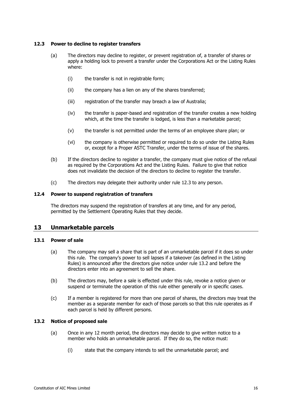#### <span id="page-22-3"></span><span id="page-22-1"></span>**12.3 Power to decline to register transfers**

- (a) The directors may decline to register, or prevent registration of, a transfer of shares or apply a holding lock to prevent a transfer under the Corporations Act or the Listing Rules where:
	- (i) the transfer is not in registrable form;
	- (ii) the company has a lien on any of the shares transferred;
	- (iii) registration of the transfer may breach a law of Australia;
	- (iv) the transfer is paper-based and registration of the transfer creates a new holding which, at the time the transfer is lodged, is less than a marketable parcel;
	- (v) the transfer is not permitted under the terms of an employee share plan; or
	- (vi) the company is otherwise permitted or required to do so under the Listing Rules or, except for a Proper ASTC Transfer, under the terms of issue of the shares.
- (b) If the directors decline to register a transfer, the company must give notice of the refusal as required by the Corporations Act and the Listing Rules. Failure to give that notice does not invalidate the decision of the directors to decline to register the transfer.
- (c) The directors may delegate their authority under rule [12.3](#page-22-3) to any person.

#### <span id="page-22-2"></span>**12.4 Power to suspend registration of transfers**

The directors may suspend the registration of transfers at any time, and for any period, permitted by the Settlement Operating Rules that they decide.

## <span id="page-22-0"></span>**13 Unmarketable parcels**

#### <span id="page-22-5"></span>**13.1 Power of sale**

- (a) The company may sell a share that is part of an unmarketable parcel if it does so under this rule. The company's power to sell lapses if a takeover (as defined in the Listing Rules) is announced after the directors give notice under rule [13.2](#page-22-4) and before the directors enter into an agreement to sell the share.
- (b) The directors may, before a sale is effected under this rule, revoke a notice given or suspend or terminate the operation of this rule either generally or in specific cases.
- (c) If a member is registered for more than one parcel of shares, the directors may treat the member as a separate member for each of those parcels so that this rule operates as if each parcel is held by different persons.

#### <span id="page-22-4"></span>**13.2 Notice of proposed sale**

- (a) Once in any 12 month period, the directors may decide to give written notice to a member who holds an unmarketable parcel. If they do so, the notice must:
	- (i) state that the company intends to sell the unmarketable parcel; and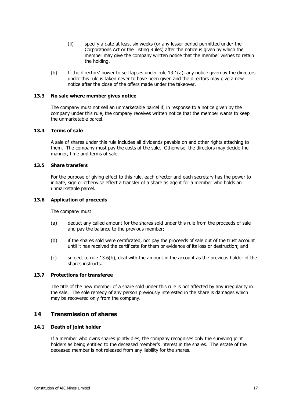- (ii) specify a date at least six weeks (or any lesser period permitted under the Corporations Act or the Listing Rules) after the notice is given by which the member may give the company written notice that the member wishes to retain the holding.
- (b) If the directors' power to sell lapses under rule [13.1\(a\),](#page-22-5) any notice given by the directors under this rule is taken never to have been given and the directors may give a new notice after the close of the offers made under the takeover.

#### **13.3 No sale where member gives notice**

The company must not sell an unmarketable parcel if, in response to a notice given by the company under this rule, the company receives written notice that the member wants to keep the unmarketable parcel.

#### **13.4 Terms of sale**

A sale of shares under this rule includes all dividends payable on and other rights attaching to them. The company must pay the costs of the sale. Otherwise, the directors may decide the manner, time and terms of sale.

#### **13.5 Share transfers**

For the purpose of giving effect to this rule, each director and each secretary has the power to initiate, sign or otherwise effect a transfer of a share as agent for a member who holds an unmarketable parcel.

#### **13.6 Application of proceeds**

The company must:

- (a) deduct any called amount for the shares sold under this rule from the proceeds of sale and pay the balance to the previous member;
- <span id="page-23-1"></span>(b) if the shares sold were certificated, not pay the proceeds of sale out of the trust account until it has received the certificate for them or evidence of its loss or destruction; and
- (c) subject to rule [13.6\(b\),](#page-23-1) deal with the amount in the account as the previous holder of the shares instructs.

#### **13.7 Protections for transferee**

The title of the new member of a share sold under this rule is not affected by any irregularity in the sale. The sole remedy of any person previously interested in the share is damages which may be recovered only from the company.

#### <span id="page-23-0"></span>**14 Transmission of shares**

#### **14.1 Death of joint holder**

If a member who owns shares jointly dies, the company recognises only the surviving joint holders as being entitled to the deceased member's interest in the shares. The estate of the deceased member is not released from any liability for the shares.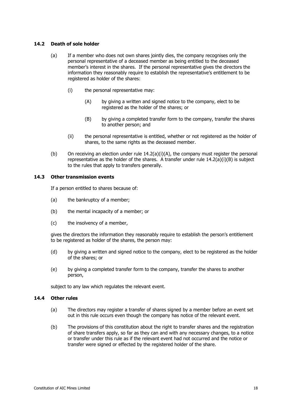#### <span id="page-24-0"></span>**14.2 Death of sole holder**

- <span id="page-24-1"></span>(a) If a member who does not own shares jointly dies, the company recognises only the personal representative of a deceased member as being entitled to the deceased member's interest in the shares. If the personal representative gives the directors the information they reasonably require to establish the representative's entitlement to be registered as holder of the shares:
	- (i) the personal representative may:
		- (A) by giving a written and signed notice to the company, elect to be registered as the holder of the shares; or
		- (B) by giving a completed transfer form to the company, transfer the shares to another person; and
	- (ii) the personal representative is entitled, whether or not registered as the holder of shares, to the same rights as the deceased member.
- <span id="page-24-2"></span>(b) On receiving an election under rule  $14.2(a)(i)(A)$  $14.2(a)(i)(A)$ , the company must register the personal representative as the holder of the shares. A transfer under rule  $14.2(a)(i)(B)$  $14.2(a)(i)(B)$  is subject to the rules that apply to transfers generally.

#### **14.3 Other transmission events**

If a person entitled to shares because of:

- (a) the bankruptcy of a member;
- (b) the mental incapacity of a member; or
- (c) the insolvency of a member,

gives the directors the information they reasonably require to establish the person's entitlement to be registered as holder of the shares, the person may:

- (d) by giving a written and signed notice to the company, elect to be registered as the holder of the shares; or
- (e) by giving a completed transfer form to the company, transfer the shares to another person,

subject to any law which regulates the relevant event.

#### **14.4 Other rules**

- (a) The directors may register a transfer of shares signed by a member before an event set out in this rule occurs even though the company has notice of the relevant event.
- (b) The provisions of this constitution about the right to transfer shares and the registration of share transfers apply, so far as they can and with any necessary changes, to a notice or transfer under this rule as if the relevant event had not occurred and the notice or transfer were signed or effected by the registered holder of the share.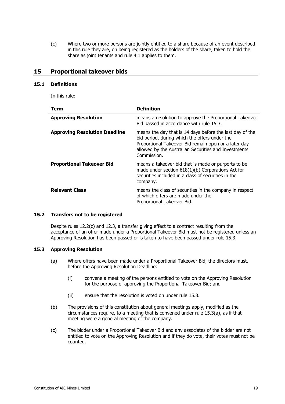(c) Where two or more persons are jointly entitled to a share because of an event described in this rule they are, on being registered as the holders of the share, taken to hold the share as joint tenants and rule [4.1](#page-13-1) applies to them.

## <span id="page-25-5"></span>**15 Proportional takeover bids**

#### <span id="page-25-3"></span>**15.1 Definitions**

In this rule:

| Term                                 | <b>Definition</b>                                                                                                                                                                                                                        |
|--------------------------------------|------------------------------------------------------------------------------------------------------------------------------------------------------------------------------------------------------------------------------------------|
| <b>Approving Resolution</b>          | means a resolution to approve the Proportional Takeover<br>Bid passed in accordance with rule 15.3.                                                                                                                                      |
| <b>Approving Resolution Deadline</b> | means the day that is 14 days before the last day of the<br>bid period, during which the offers under the<br>Proportional Takeover Bid remain open or a later day<br>allowed by the Australian Securities and Investments<br>Commission. |
| <b>Proportional Takeover Bid</b>     | means a takeover bid that is made or purports to be<br>made under section $618(1)(b)$ Corporations Act for<br>securities included in a class of securities in the<br>company.                                                            |
| <b>Relevant Class</b>                | means the class of securities in the company in respect<br>of which offers are made under the<br>Proportional Takeover Bid.                                                                                                              |

#### <span id="page-25-4"></span>**15.2 Transfers not to be registered**

Despite rules [12.2\(c\)](#page-21-3) and [12.3,](#page-22-3) a transfer giving effect to a contract resulting from the acceptance of an offer made under a Proportional Takeover Bid must not be registered unless an Approving Resolution has been passed or is taken to have been passed under rule [15.3.](#page-25-0)

#### <span id="page-25-1"></span><span id="page-25-0"></span>**15.3 Approving Resolution**

- (a) Where offers have been made under a Proportional Takeover Bid, the directors must, before the Approving Resolution Deadline:
	- (i) convene a meeting of the persons entitled to vote on the Approving Resolution for the purpose of approving the Proportional Takeover Bid; and
	- (ii) ensure that the resolution is voted on under rule [15.3.](#page-25-0)
- (b) The provisions of this constitution about general meetings apply, modified as the circumstances require, to a meeting that is convened under rule [15.3\(a\),](#page-25-1) as if that meeting were a general meeting of the company.
- <span id="page-25-2"></span>(c) The bidder under a Proportional Takeover Bid and any associates of the bidder are not entitled to vote on the Approving Resolution and if they do vote, their votes must not be counted.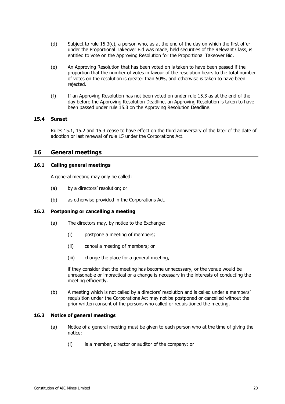- (d) Subject to rule [15.3\(c\),](#page-25-2) a person who, as at the end of the day on which the first offer under the Proportional Takeover Bid was made, held securities of the Relevant Class, is entitled to vote on the Approving Resolution for the Proportional Takeover Bid.
- (e) An Approving Resolution that has been voted on is taken to have been passed if the proportion that the number of votes in favour of the resolution bears to the total number of votes on the resolution is greater than 50%, and otherwise is taken to have been rejected.
- (f) If an Approving Resolution has not been voted on under rule [15.3](#page-25-0) as at the end of the day before the Approving Resolution Deadline, an Approving Resolution is taken to have been passed under rule [15.3](#page-25-0) on the Approving Resolution Deadline.

#### **15.4 Sunset**

Rules [15.1,](#page-25-3) [15.2](#page-25-4) and [15.3](#page-25-0) cease to have effect on the third anniversary of the later of the date of adoption or last renewal of rule [15](#page-25-5) under the Corporations Act.

## **16 General meetings**

#### **16.1 Calling general meetings**

A general meeting may only be called:

- (a) by a directors' resolution; or
- (b) as otherwise provided in the Corporations Act.

#### <span id="page-26-0"></span>**16.2 Postponing or cancelling a meeting**

- (a) The directors may, by notice to the Exchange:
	- (i) postpone a meeting of members;
	- (ii) cancel a meeting of members; or
	- (iii) change the place for a general meeting,

<span id="page-26-1"></span>if they consider that the meeting has become unnecessary, or the venue would be unreasonable or impractical or a change is necessary in the interests of conducting the meeting efficiently.

(b) A meeting which is not called by a directors' resolution and is called under a members' requisition under the Corporations Act may not be postponed or cancelled without the prior written consent of the persons who called or requisitioned the meeting.

#### **16.3 Notice of general meetings**

- (a) Notice of a general meeting must be given to each person who at the time of giving the notice:
	- (i) is a member, director or auditor of the company; or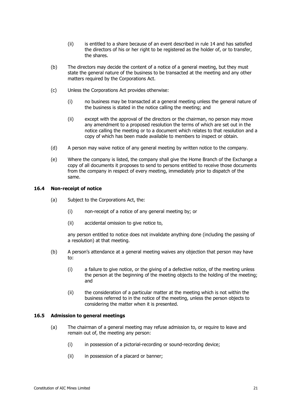- (ii) is entitled to a share because of an event described in rule 14 and has satisfied the directors of his or her right to be registered as the hol[der o](#page-23-0)f, or to transfer, the shares.
- (b) The directors may decide the content of a notice of a general meeting, but they must state the general nature of the business to be transacted at the meeting and any other matters required by the Corporations Act.
- (c) Unless the Corporations Act provides otherwise:
	- (i) no business may be transacted at a general meeting unless the general nature of the business is stated in the notice calling the meeting; and
	- (ii) except with the approval of the directors or the chairman, no person may move any amendment to a proposed resolution the terms of which are set out in the notice calling the meeting or to a document which relates to that resolution and a copy of which has been made available to members to inspect or obtain.
- (d) A person may waive notice of any general meeting by written notice to the company.
- (e) Where the company is listed, the company shall give the Home Branch of the Exchange a copy of all documents it proposes to send to persons entitled to receive those documents from the company in respect of every meeting, immediately prior to dispatch of the same.

#### **16.4 Non-receipt of notice**

- (a) Subject to the Corporations Act, the:
	- (i) non-receipt of a notice of any general meeting by; or
	- (ii) accidental omission to give notice to,

any person entitled to notice does not invalidate anything done (including the passing of a resolution) at that meeting.

- (b) A person's attendance at a general meeting waives any objection that person may have to:
	- (i) a failure to give notice, or the giving of a defective notice, of the meeting unless the person at the beginning of the meeting objects to the holding of the meeting; and
	- (ii) the consideration of a particular matter at the meeting which is not within the business referred to in the notice of the meeting, unless the person objects to considering the matter when it is presented.

#### **16.5 Admission to general meetings**

- (a) The chairman of a general meeting may refuse admission to, or require to leave and remain out of, the meeting any person:
	- (i) in possession of a pictorial-recording or sound-recording device;
	- (ii) in possession of a placard or banner;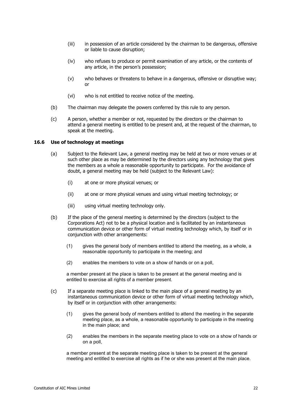- (iii) in possession of an article considered by the chairman to be dangerous, offensive or liable to cause disruption;
- (iv) who refuses to produce or permit examination of any article, or the contents of any article, in the person's possession;
- (v) who behaves or threatens to behave in a dangerous, offensive or disruptive way; or
- (vi) who is not entitled to receive notice of the meeting.
- (b) The chairman may delegate the powers conferred by this rule to any person.
- (c) A person, whether a member or not, requested by the directors or the chairman to attend a general meeting is entitled to be present and, at the request of the chairman, to speak at the meeting.

## <span id="page-28-0"></span>**16.6 Use of technology at meetings**

- (a) Subject to the Relevant Law, a general meeting may be held at two or more venues or at such other place as may be determined by the directors using any technology that gives the members as a whole a reasonable opportunity to participate. For the avoidance of doubt, a general meeting may be held (subject to the Relevant Law):
	- (i) at one or more physical venues; or
	- (ii) at one or more physical venues and using virtual meeting technology; or
	- (iii) using virtual meeting technology only.
- <span id="page-28-1"></span>(b) If the place of the general meeting is determined by the directors (subject to the Corporations Act) not to be a physical location and is facilitated by an instantaneous communication device or other form of virtual meeting technology which, by itself or in conjunction with other arrangements:
	- (1) gives the general body of members entitled to attend the meeting, as a whole, a reasonable opportunity to participate in the meeting; and
	- (2) enables the members to vote on a show of hands or on a poll,

a member present at the place is taken to be present at the general meeting and is entitled to exercise all rights of a member present.

- <span id="page-28-2"></span>(c) If a separate meeting place is linked to the main place of a general meeting by an instantaneous communication device or other form of virtual meeting technology which, by itself or in conjunction with other arrangements:
	- (1) gives the general body of members entitled to attend the meeting in the separate meeting place, as a whole, a reasonable opportunity to participate in the meeting in the main place; and
	- (2) enables the members in the separate meeting place to vote on a show of hands or on a poll,

a member present at the separate meeting place is taken to be present at the general meeting and entitled to exercise all rights as if he or she was present at the main place.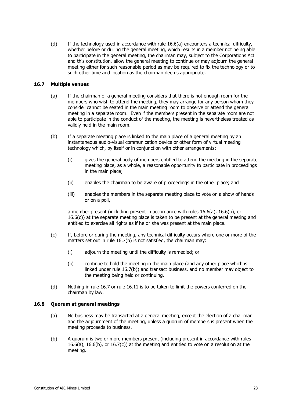(d) If the technology used in accordance with rule [16.6\(a\)](#page-28-0) encounters a technical difficulty, whether before or during the general meeting, which results in a member not being able to participate in the general meeting, the chairman may, subject to the Corporations Act and this constitution, allow the general meeting to continue or may adjourn the general meeting either for such reasonable period as may be required to fix the technology or to such other time and location as the chairman deems appropriate.

#### <span id="page-29-1"></span>**16.7 Multiple venues**

- (a) If the chairman of a general meeting considers that there is not enough room for the members who wish to attend the meeting, they may arrange for any person whom they consider cannot be seated in the main meeting room to observe or attend the general meeting in a separate room. Even if the members present in the separate room are not able to participate in the conduct of the meeting, the meeting is nevertheless treated as validly held in the main room.
- <span id="page-29-0"></span>(b) If a separate meeting place is linked to the main place of a general meeting by an instantaneous audio-visual communication device or other form of virtual meeting technology which, by itself or in conjunction with other arrangements:
	- (i) gives the general body of members entitled to attend the meeting in the separate meeting place, as a whole, a reasonable opportunity to participate in proceedings in the main place;
	- (ii) enables the chairman to be aware of proceedings in the other place; and
	- (iii) enables the members in the separate meeting place to vote on a show of hands or on a poll,

a member present (including present in accordance with rules [16.6\(a\),](#page-28-0) [16.6\(b\),](#page-28-1) or [16.6\(c\)\)](#page-28-2) at the separate meeting place is taken to be present at the general meeting and entitled to exercise all rights as if he or she was present at the main place.

- <span id="page-29-2"></span>(c) If, before or during the meeting, any technical difficulty occurs where one or more of the matters set out in rule [16.7\(b\)](#page-29-0) is not satisfied, the chairman may:
	- (i) adjourn the meeting until the difficulty is remedied; or
	- (ii) continue to hold the meeting in the main place (and any other place which is linked under rule [16.7\(b\)\)](#page-29-0) and transact business, and no member may object to the meeting being held or continuing.
- (d) Nothing in rule [16.7](#page-29-1) or rule [16.11](#page-31-0) is to be taken to limit the powers conferred on the chairman by law.

#### <span id="page-29-3"></span>**16.8 Quorum at general meetings**

- (a) No business may be transacted at a general meeting, except the election of a chairman and the adjournment of the meeting, unless a quorum of members is present when the meeting proceeds to business.
- (b) A quorum is two or more members present (including present in accordance with rules  $16.6(a)$ ,  $16.6(b)$ , or  $16.7(c)$ ) at the meeting and entitled to vote on a resolution at the meeting.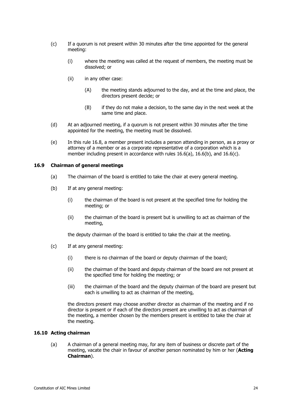- (c) If a quorum is not present within 30 minutes after the time appointed for the general meeting:
	- (i) where the meeting was called at the request of members, the meeting must be dissolved; or
	- (ii) in any other case:
		- (A) the meeting stands adjourned to the day, and at the time and place, the directors present decide; or
		- (B) if they do not make a decision, to the same day in the next week at the same time and place.
- (d) At an adjourned meeting, if a quorum is not present within 30 minutes after the time appointed for the meeting, the meeting must be dissolved.
- (e) In this rule [16.8,](#page-29-3) a member present includes a person attending in person, as a proxy or attorney of a member or as a corporate representative of a corporation which is a member including present in accordance with rules [16.6\(a\),](#page-28-0) [16.6\(b\),](#page-28-1) and [16.6\(c\).](#page-28-2)

#### **16.9 Chairman of general meetings**

- (a) The chairman of the board is entitled to take the chair at every general meeting.
- (b) If at any general meeting:
	- (i) the chairman of the board is not present at the specified time for holding the meeting; or
	- (ii) the chairman of the board is present but is unwilling to act as chairman of the meeting,

the deputy chairman of the board is entitled to take the chair at the meeting.

- (c) If at any general meeting:
	- (i) there is no chairman of the board or deputy chairman of the board;
	- (ii) the chairman of the board and deputy chairman of the board are not present at the specified time for holding the meeting; or
	- (iii) the chairman of the board and the deputy chairman of the board are present but each is unwilling to act as chairman of the meeting,

the directors present may choose another director as chairman of the meeting and if no director is present or if each of the directors present are unwilling to act as chairman of the meeting, a member chosen by the members present is entitled to take the chair at the meeting.

#### **16.10 Acting chairman**

(a) A chairman of a general meeting may, for any item of business or discrete part of the meeting, vacate the chair in favour of another person nominated by him or her (**Acting Chairman**).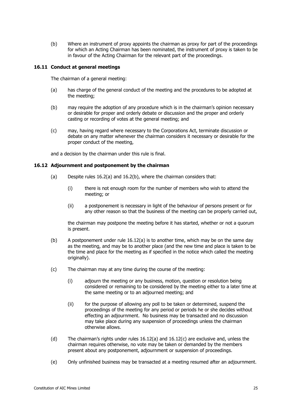(b) Where an instrument of proxy appoints the chairman as proxy for part of the proceedings for which an Acting Chairman has been nominated, the instrument of proxy is taken to be in favour of the Acting Chairman for the relevant part of the proceedings.

#### <span id="page-31-0"></span>**16.11 Conduct at general meetings**

The chairman of a general meeting:

- (a) has charge of the general conduct of the meeting and the procedures to be adopted at the meeting;
- (b) may require the adoption of any procedure which is in the chairman's opinion necessary or desirable for proper and orderly debate or discussion and the proper and orderly casting or recording of votes at the general meeting; and
- (c) may, having regard where necessary to the Corporations Act, terminate discussion or debate on any matter whenever the chairman considers it necessary or desirable for the proper conduct of the meeting,

and a decision by the chairman under this rule is final.

#### <span id="page-31-2"></span><span id="page-31-1"></span>**16.12 Adjournment and postponement by the chairman**

- (a) Despite rules [16.2\(a\)](#page-26-0) and [16.2\(b\),](#page-26-1) where the chairman considers that:
	- (i) there is not enough room for the number of members who wish to attend the meeting; or
	- (ii) a postponement is necessary in light of the behaviour of persons present or for any other reason so that the business of the meeting can be properly carried out,

the chairman may postpone the meeting before it has started, whether or not a quorum is present.

- (b) A postponement under rule [16.12\(a\)](#page-31-1) is to another time, which may be on the same day as the meeting, and may be to another place (and the new time and place is taken to be the time and place for the meeting as if specified in the notice which called the meeting originally).
- <span id="page-31-3"></span>(c) The chairman may at any time during the course of the meeting:
	- (i) adjourn the meeting or any business, motion, question or resolution being considered or remaining to be considered by the meeting either to a later time at the same meeting or to an adjourned meeting; and
	- (ii) for the purpose of allowing any poll to be taken or determined, suspend the proceedings of the meeting for any period or periods he or she decides without effecting an adjournment. No business may be transacted and no discussion may take place during any suspension of proceedings unless the chairman otherwise allows.
- (d) The chairman's rights under rules [16.12](#page-31-2)[\(a\)](#page-31-1) and [16.12](#page-31-2)[\(c\)](#page-31-3) are exclusive and, unless the chairman requires otherwise, no vote may be taken or demanded by the members present about any postponement, adjournment or suspension of proceedings.
- (e) Only unfinished business may be transacted at a meeting resumed after an adjournment.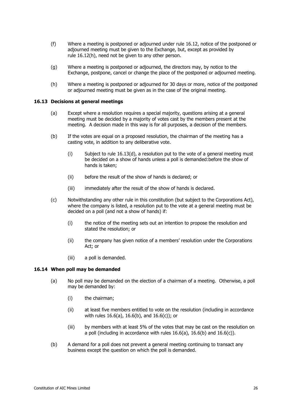- (f) Where a meeting is postponed or adjourned under rule [16.12,](#page-31-2) notice of the postponed or adjourned meeting must be given to the Exchange, but, except as provided by rule [16.12\(h\),](#page-32-0) need not be given to any other person.
- (g) Where a meeting is postponed or adjourned, the directors may, by notice to the Exchange, postpone, cancel or change the place of the postponed or adjourned meeting.
- <span id="page-32-0"></span>(h) Where a meeting is postponed or adjourned for 30 days or more, notice of the postponed or adjourned meeting must be given as in the case of the original meeting.

#### **16.13 Decisions at general meetings**

- (a) Except where a resolution requires a special majority, questions arising at a general meeting must be decided by a majority of votes cast by the members present at the meeting. A decision made in this way is for all purposes, a decision of the members.
- (b) If the votes are equal on a proposed resolution, the chairman of the meeting has a casting vote, in addition to any deliberative vote.
	- (i) Subject to rule [16.13\(d\),](#page-32-1) a resolution put to the vote of a general meeting must be decided on a show of hands unless a poll is demanded:before the show of hands is taken;
	- (ii) before the result of the show of hands is declared; or
	- (iii) immediately after the result of the show of hands is declared.
- <span id="page-32-1"></span>(c) Notwithstanding any other rule in this constitution (but subject to the Corporations Act), where the company is listed, a resolution put to the vote at a general meeting must be decided on a poll (and not a show of hands) if:
	- (i) the notice of the meeting sets out an intention to propose the resolution and stated the resolution; or
	- (ii) the company has given notice of a members' resolution under the Corporations Act; or
	- (iii) a poll is demanded.

#### **16.14 When poll may be demanded**

- (a) No poll may be demanded on the election of a chairman of a meeting. Otherwise, a poll may be demanded by:
	- (i) the chairman;
	- (ii) at least five members entitled to vote on the resolution (including in accordance with rules [16.6\(a\),](#page-28-0) [16.6\(b\),](#page-28-1) and [16.6\(c\)\)](#page-28-2); or
	- (iii) by members with at least 5% of the votes that may be cast on the resolution on a poll (including in accordance with rules [16.6\(a\),](#page-28-0) [16.6\(b\)](#page-28-1) and [16.6\(c\)\)](#page-28-2).
- (b) A demand for a poll does not prevent a general meeting continuing to transact any business except the question on which the poll is demanded.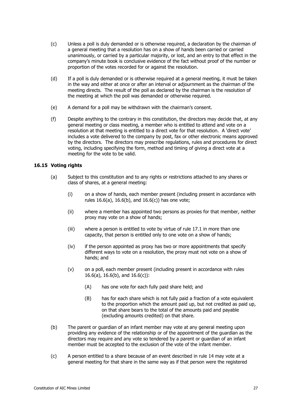- (c) Unless a poll is duly demanded or is otherwise required, a declaration by the chairman of a general meeting that a resolution has on a show of hands been carried or carried unanimously, or carried by a particular majority, or lost, and an entry to that effect in the company's minute book is conclusive evidence of the fact without proof of the number or proportion of the votes recorded for or against the resolution.
- (d) If a poll is duly demanded or is otherwise required at a general meeting, it must be taken in the way and either at once or after an interval or adjournment as the chairman of the meeting directs. The result of the poll as declared by the chairman is the resolution of the meeting at which the poll was demanded or otherwise required.
- (e) A demand for a poll may be withdrawn with the chairman's consent.
- (f) Despite anything to the contrary in this constitution, the directors may decide that, at any general meeting or class meeting, a member who is entitled to attend and vote on a resolution at that meeting is entitled to a direct vote for that resolution. A 'direct vote' includes a vote delivered to the company by post, fax or other electronic means approved by the directors. The directors may prescribe regulations, rules and procedures for direct voting, including specifying the form, method and timing of giving a direct vote at a meeting for the vote to be valid.

#### **16.15 Voting rights**

- (a) Subject to this constitution and to any rights or restrictions attached to any shares or class of shares, at a general meeting:
	- (i) on a show of hands, each member present (including present in accordance with rules [16.6\(a\),](#page-28-0) [16.6\(b\),](#page-28-1) and [16.6\(c\)\)](#page-28-2) has one vote;
	- (ii) where a member has appointed two persons as proxies for that member, neither proxy may vote on a show of hands;
	- (iii) where a person is entitled to vote by virtue of rule [17.1](#page-35-0) in more than one capacity, that person is entitled only to one vote on a show of hands;
	- (iv) if the person appointed as proxy has two or more appointments that specify different ways to vote on a resolution, the proxy must not vote on a show of hands; and
	- (v) on a poll, each member present (including present in accordance with rules [16.6\(a\),](#page-28-0) [16.6\(b\),](#page-28-1) and [16.6\(c\)\)](#page-28-2):
		- (A) has one vote for each fully paid share held; and
		- (B) has for each share which is not fully paid a fraction of a vote equivalent to the proportion which the amount paid up, but not credited as paid up, on that share bears to the total of the amounts paid and payable (excluding amounts credited) on that share.
- (b) The parent or guardian of an infant member may vote at any general meeting upon providing any evidence of the relationship or of the appointment of the guardian as the directors may require and any vote so tendered by a parent or guardian of an infant member must be accepted to the exclusion of the vote of the infant member.
- (c) A person entitled to a share because of an event described in rule [14](#page-23-0) may vote at a general meeting for that share in the same way as if that person were the registered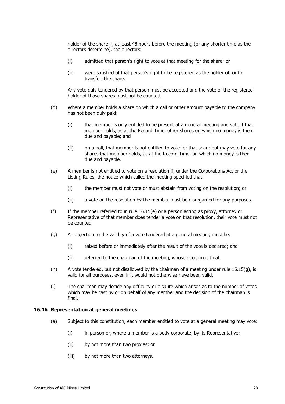holder of the share if, at least 48 hours before the meeting (or any shorter time as the directors determine), the directors:

- (i) admitted that person's right to vote at that meeting for the share; or
- (ii) were satisfied of that person's right to be registered as the holder of, or to transfer, the share.

Any vote duly tendered by that person must be accepted and the vote of the registered holder of those shares must not be counted.

- (d) Where a member holds a share on which a call or other amount payable to the company has not been duly paid:
	- (i) that member is only entitled to be present at a general meeting and vote if that member holds, as at the Record Time, other shares on which no money is then due and payable; and
	- (ii) on a poll, that member is not entitled to vote for that share but may vote for any shares that member holds, as at the Record Time, on which no money is then due and payable.
- <span id="page-34-0"></span>(e) A member is not entitled to vote on a resolution if, under the Corporations Act or the Listing Rules, the notice which called the meeting specified that:
	- (i) the member must not vote or must abstain from voting on the resolution; or
	- (ii) a vote on the resolution by the member must be disregarded for any purposes.
- (f) If the member referred to in rule [16.15\(e\)](#page-34-0) or a person acting as proxy, attorney or Representative of that member does tender a vote on that resolution, their vote must not be counted.
- <span id="page-34-1"></span>(g) An objection to the validity of a vote tendered at a general meeting must be:
	- (i) raised before or immediately after the result of the vote is declared; and
	- (ii) referred to the chairman of the meeting, whose decision is final.
- (h) A vote tendered, but not disallowed by the chairman of a meeting under rule [16.15\(g\),](#page-34-1) is valid for all purposes, even if it would not otherwise have been valid.
- (i) The chairman may decide any difficulty or dispute which arises as to the number of votes which may be cast by or on behalf of any member and the decision of the chairman is final.

#### **16.16 Representation at general meetings**

- (a) Subject to this constitution, each member entitled to vote at a general meeting may vote:
	- (i) in person or, where a member is a body corporate, by its Representative;
	- (ii) by not more than two proxies; or
	- (iii) by not more than two attorneys.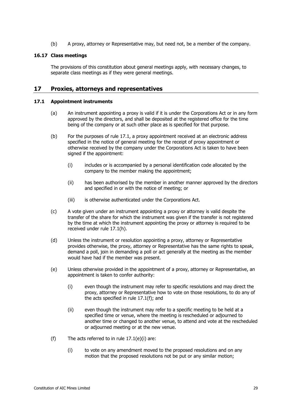(b) A proxy, attorney or Representative may, but need not, be a member of the company.

#### **16.17 Class meetings**

The provisions of this constitution about general meetings apply, with necessary changes, to separate class meetings as if they were general meetings.

## **17 Proxies, attorneys and representatives**

#### <span id="page-35-0"></span>**17.1 Appointment instruments**

- (a) An instrument appointing a proxy is valid if it is under the Corporations Act or in any form approved by the directors, and shall be deposited at the registered office for the time being of the company or at such other place as is specified for that purpose.
- (b) For the purposes of rule [17.1,](#page-35-0) a proxy appointment received at an electronic address specified in the notice of general meeting for the receipt of proxy appointment or otherwise received by the company under the Corporations Act is taken to have been signed if the appointment:
	- (i) includes or is accompanied by a personal identification code allocated by the company to the member making the appointment;
	- (ii) has been authorised by the member in another manner approved by the directors and specified in or with the notice of meeting; or
	- (iii) is otherwise authenticated under the Corporations Act.
- (c) A vote given under an instrument appointing a proxy or attorney is valid despite the transfer of the share for which the instrument was given if the transfer is not registered by the time at which the instrument appointing the proxy or attorney is required to be received under rule [17.1\(h\).](#page-36-0)
- (d) Unless the instrument or resolution appointing a proxy, attorney or Representative provides otherwise, the proxy, attorney or Representative has the same rights to speak, demand a poll, join in demanding a poll or act generally at the meeting as the member would have had if the member was present.
- <span id="page-35-2"></span>(e) Unless otherwise provided in the appointment of a proxy, attorney or Representative, an appointment is taken to confer authority:
	- (i) even though the instrument may refer to specific resolutions and may direct the proxy, attorney or Representative how to vote on those resolutions, to do any of the acts specified in rule [17.1\(f\);](#page-35-1) and
	- (ii) even though the instrument may refer to a specific meeting to be held at a specified time or venue, where the meeting is rescheduled or adjourned to another time or changed to another venue, to attend and vote at the rescheduled or adjourned meeting or at the new venue.
- <span id="page-35-1"></span>(f) The acts referred to in rule  $17.1(e)(i)$  are:
	- (i) to vote on any amendment moved to the proposed resolutions and on any motion that the proposed resolutions not be put or any similar motion;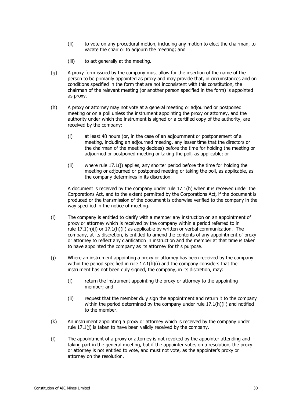- (ii) to vote on any procedural motion, including any motion to elect the chairman, to vacate the chair or to adjourn the meeting; and
- (iii) to act generally at the meeting.
- (g) A proxy form issued by the company must allow for the insertion of the name of the person to be primarily appointed as proxy and may provide that, in circumstances and on conditions specified in the form that are not inconsistent with this constitution, the chairman of the relevant meeting (or another person specified in the form) is appointed as proxy.
- <span id="page-36-2"></span><span id="page-36-0"></span>(h) A proxy or attorney may not vote at a general meeting or adjourned or postponed meeting or on a poll unless the instrument appointing the proxy or attorney, and the authority under which the instrument is signed or a certified copy of the authority, are received by the company:
	- (i) at least 48 hours (or, in the case of an adjournment or postponement of a meeting, including an adjourned meeting, any lesser time that the directors or the chairman of the meeting decides) before the time for holding the meeting or adjourned or postponed meeting or taking the poll, as applicable; or
	- (ii) where rule [17.1\(j\)](#page-36-1) applies, any shorter period before the time for holding the meeting or adjourned or postponed meeting or taking the poll, as applicable, as the company determines in its discretion.

<span id="page-36-3"></span>A document is received by the company under rule [17.1\(h\)](#page-36-0) when it is received under the Corporations Act, and to the extent permitted by the Corporations Act, if the document is produced or the transmission of the document is otherwise verified to the company in the way specified in the notice of meeting.

- <span id="page-36-4"></span>(i) The company is entitled to clarify with a member any instruction on an appointment of proxy or attorney which is received by the company within a period referred to in rule  $17.1(h)(i)$  or  $17.1(h)(ii)$  as applicable by written or verbal communication. The company, at its discretion, is entitled to amend the contents of any appointment of proxy or attorney to reflect any clarification in instruction and the member at that time is taken to have appointed the company as its attorney for this purpose.
- <span id="page-36-1"></span>(j) Where an instrument appointing a proxy or attorney has been received by the company within the period specified in rule  $17.1(h)(i)$  and the company considers that the instrument has not been duly signed, the company, in its discretion, may:
	- (i) return the instrument appointing the proxy or attorney to the appointing member; and
	- (ii) request that the member duly sign the appointment and return it to the company within the period determined by the company under rule [17.1\(h\)\(ii\)](#page-36-3) and notified to the member.
- (k) An instrument appointing a proxy or attorney which is received by the company under rule [17.1\(j\)](#page-36-1) is taken to have been validly received by the company.
- (l) The appointment of a proxy or attorney is not revoked by the appointer attending and taking part in the general meeting, but if the appointer votes on a resolution, the proxy or attorney is not entitled to vote, and must not vote, as the appointer's proxy or attorney on the resolution.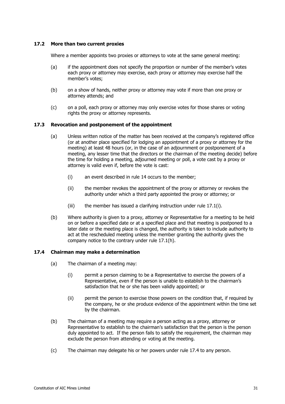#### **17.2 More than two current proxies**

Where a member appoints two proxies or attorneys to vote at the same general meeting:

- (a) if the appointment does not specify the proportion or number of the member's votes each proxy or attorney may exercise, each proxy or attorney may exercise half the member's votes;
- (b) on a show of hands, neither proxy or attorney may vote if more than one proxy or attorney attends; and
- (c) on a poll, each proxy or attorney may only exercise votes for those shares or voting rights the proxy or attorney represents.

## **17.3 Revocation and postponement of the appointment**

- (a) Unless written notice of the matter has been received at the company's registered office (or at another place specified for lodging an appointment of a proxy or attorney for the meeting) at least 48 hours (or, in the case of an adjournment or postponement of a meeting, any lesser time that the directors or the chairman of the meeting decide) before the time for holding a meeting, adjourned meeting or poll, a vote cast by a proxy or attorney is valid even if, before the vote is cast:
	- (i) an event described in rule [14](#page-23-0) occurs to the member;
	- (ii) the member revokes the appointment of the proxy or attorney or revokes the authority under which a third party appointed the proxy or attorney; or
	- (iii) the member has issued a clarifying instruction under rule  $17.1(i)$ .
- (b) Where authority is given to a proxy, attorney or Representative for a meeting to be held on or before a specified date or at a specified place and that meeting is postponed to a later date or the meeting place is changed, the authority is taken to include authority to act at the rescheduled meeting unless the member granting the authority gives the company notice to the contrary under rule [17.1\(h\).](#page-36-0)

#### <span id="page-37-0"></span>**17.4 Chairman may make a determination**

- (a) The chairman of a meeting may:
	- (i) permit a person claiming to be a Representative to exercise the powers of a Representative, even if the person is unable to establish to the chairman's satisfaction that he or she has been validly appointed; or
	- (ii) permit the person to exercise those powers on the condition that, if required by the company, he or she produce evidence of the appointment within the time set by the chairman.
- (b) The chairman of a meeting may require a person acting as a proxy, attorney or Representative to establish to the chairman's satisfaction that the person is the person duly appointed to act. If the person fails to satisfy the requirement, the chairman may exclude the person from attending or voting at the meeting.
- (c) The chairman may delegate his or her powers under rule [17.4](#page-37-0) to any person.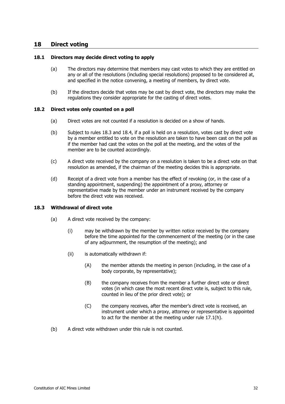## **18 Direct voting**

#### **18.1 Directors may decide direct voting to apply**

- (a) The directors may determine that members may cast votes to which they are entitled on any or all of the resolutions (including special resolutions) proposed to be considered at, and specified in the notice convening, a meeting of members, by direct vote.
- (b) If the directors decide that votes may be cast by direct vote, the directors may make the regulations they consider appropriate for the casting of direct votes.

#### **18.2 Direct votes only counted on a poll**

- (a) Direct votes are not counted if a resolution is decided on a show of hands.
- (b) Subject to rules [18.3](#page-38-0) and [18.4,](#page-39-1) if a poll is held on a resolution, votes cast by direct vote by a member entitled to vote on the resolution are taken to have been cast on the poll as if the member had cast the votes on the poll at the meeting, and the votes of the member are to be counted accordingly.
- (c) A direct vote received by the company on a resolution is taken to be a direct vote on that resolution as amended, if the chairman of the meeting decides this is appropriate.
- (d) Receipt of a direct vote from a member has the effect of revoking (or, in the case of a standing appointment, suspending) the appointment of a proxy, attorney or representative made by the member under an instrument received by the company before the direct vote was received.

#### <span id="page-38-0"></span>**18.3 Withdrawal of direct vote**

- (a) A direct vote received by the company:
	- (i) may be withdrawn by the member by written notice received by the company before the time appointed for the commencement of the meeting (or in the case of any adjournment, the resumption of the meeting); and
	- (ii) is automatically withdrawn if:
		- (A) the member attends the meeting in person (including, in the case of a body corporate, by representative);
		- (B) the company receives from the member a further direct vote or direct votes (in which case the most recent direct vote is, subject to this rule, counted in lieu of the prior direct vote); or
		- (C) the company receives, after the member's direct vote is received, an instrument under which a proxy, attorney or representative is appointed to act for the member at the meeting under rule [17.1\(h\).](#page-36-0)
- (b) A direct vote withdrawn under this rule is not counted.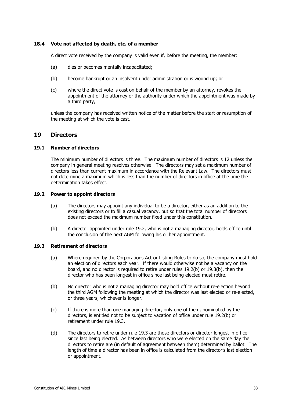#### <span id="page-39-1"></span>**18.4 Vote not affected by death, etc. of a member**

A direct vote received by the company is valid even if, before the meeting, the member:

- (a) dies or becomes mentally incapacitated;
- (b) become bankrupt or an insolvent under administration or is wound up; or
- (c) where the direct vote is cast on behalf of the member by an attorney, revokes the appointment of the attorney or the authority under which the appointment was made by a third party,

unless the company has received written notice of the matter before the start or resumption of the meeting at which the vote is cast.

## **19 Directors**

#### **19.1 Number of directors**

The minimum number of directors is three. The maximum number of directors is 12 unless the company in general meeting resolves otherwise. The directors may set a maximum number of directors less than current maximum in accordance with the Relevant Law. The directors must not determine a maximum which is less than the number of directors in office at the time the determination takes effect.

#### <span id="page-39-2"></span><span id="page-39-0"></span>**19.2 Power to appoint directors**

- (a) The directors may appoint any individual to be a director, either as an addition to the existing directors or to fill a casual vacancy, but so that the total number of directors does not exceed the maximum number fixed under this constitution.
- <span id="page-39-3"></span>(b) A director appointed under rule [19.2,](#page-39-2) who is not a managing director, holds office until the conclusion of the next AGM following his or her appointment.

#### <span id="page-39-5"></span>**19.3 Retirement of directors**

- (a) Where required by the Corporations Act or Listing Rules to do so, the company must hold an election of directors each year. If there would otherwise not be a vacancy on the board, and no director is required to retire under rules [19.2\(b\)](#page-39-3) or [19.3\(b\),](#page-39-4) then the director who has been longest in office since last being elected must retire.
- <span id="page-39-4"></span>(b) No director who is not a managing director may hold office without re-election beyond the third AGM following the meeting at which the director was last elected or re-elected, or three years, whichever is longer.
- (c) If there is more than one managing director, only one of them, nominated by the directors, is entitled not to be subject to vacation of office under rule [19.2\(b\)](#page-39-3) or retirement under rule [19.3.](#page-39-5)
- (d) The directors to retire under rule [19.3](#page-39-5) are those directors or director longest in office since last being elected. As between directors who were elected on the same day the directors to retire are (in default of agreement between them) determined by ballot. The length of time a director has been in office is calculated from the director's last election or appointment.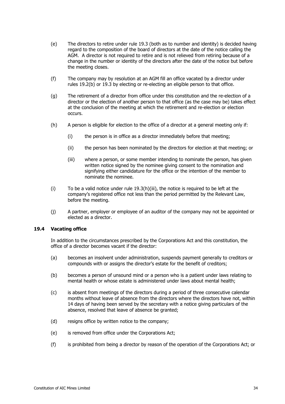- (e) The directors to retire under rule 19.3 (both as to number and identity) is decided having regard to the composition of the [board](#page-39-5) of directors at the date of the notice calling the AGM. A director is not required to retire and is not relieved from retiring because of a change in the number or identity of the directors after the date of the notice but before the meeting closes.
- (f) The company may by resolution at an AGM fill an office vacated by a director under rules [19.2\(b\)](#page-39-3) or [19.3](#page-39-5) by electing or re-electing an eligible person to that office.
- (g) The retirement of a director from office under this constitution and the re-election of a director or the election of another person to that office (as the case may be) takes effect at the conclusion of the meeting at which the retirement and re-election or election occurs.
- <span id="page-40-0"></span>(h) A person is eligible for election to the office of a director at a general meeting only if:
	- (i) the person is in office as a director immediately before that meeting;
	- (ii) the person has been nominated by the directors for election at that meeting; or
	- (iii) where a person, or some member intending to nominate the person, has given written notice signed by the nominee giving consent to the nomination and signifying either candidature for the office or the intention of the member to nominate the nominee.
- $(i)$  To be a valid notice under rule [19.3\(h\)\(iii\),](#page-40-0) the notice is required to be left at the company's registered office not less than the period permitted by the Relevant Law, before the meeting.
- (j) A partner, employer or employee of an auditor of the company may not be appointed or elected as a director.

#### **19.4 Vacating office**

In addition to the circumstances prescribed by the Corporations Act and this constitution, the office of a director becomes vacant if the director:

- (a) becomes an insolvent under administration, suspends payment generally to creditors or compounds with or assigns the director's estate for the benefit of creditors;
- (b) becomes a person of unsound mind or a person who is a patient under laws relating to mental health or whose estate is administered under laws about mental health;
- (c) is absent from meetings of the directors during a period of three consecutive calendar months without leave of absence from the directors where the directors have not, within 14 days of having been served by the secretary with a notice giving particulars of the absence, resolved that leave of absence be granted;
- (d) resigns office by written notice to the company;
- (e) is removed from office under the Corporations Act;
- (f) is prohibited from being a director by reason of the operation of the Corporations Act; or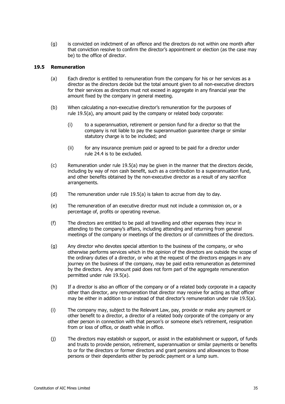(g) is convicted on indictment of an offence and the directors do not within one month after that conviction resolve to confirm the director's appointment or election (as the case may be) to the office of director.

#### <span id="page-41-0"></span>**19.5 Remuneration**

- (a) Each director is entitled to remuneration from the company for his or her services as a director as the directors decide but the total amount given to all non-executive directors for their services as directors must not exceed in aggregate in any financial year the amount fixed by the company in general meeting.
- (b) When calculating a non-executive director's remuneration for the purposes of rule [19.5\(a\),](#page-41-0) any amount paid by the company or related body corporate:
	- (i) to a superannuation, retirement or pension fund for a director so that the company is not liable to pay the superannuation guarantee charge or similar statutory charge is to be included; and
	- (ii) for any insurance premium paid or agreed to be paid for a director under rule [24.4](#page-50-0) is to be excluded.
- (c) Remuneration under rule [19.5\(a\)](#page-41-0) may be given in the manner that the directors decide, including by way of non cash benefit, such as a contribution to a superannuation fund, and other benefits obtained by the non-executive director as a result of any sacrifice arrangements.
- (d) The remuneration under rule [19.5\(a\)](#page-41-0) is taken to accrue from day to day.
- (e) The remuneration of an executive director must not include a commission on, or a percentage of, profits or operating revenue.
- (f) The directors are entitled to be paid all travelling and other expenses they incur in attending to the company's affairs, including attending and returning from general meetings of the company or meetings of the directors or of committees of the directors.
- <span id="page-41-1"></span>(g) Any director who devotes special attention to the business of the company, or who otherwise performs services which in the opinion of the directors are outside the scope of the ordinary duties of a director, or who at the request of the directors engages in any journey on the business of the company, may be paid extra remuneration as determined by the directors. Any amount paid does not form part of the aggregate remuneration permitted under rule [19.5\(a\).](#page-41-0)
- (h) If a director is also an officer of the company or of a related body corporate in a capacity other than director, any remuneration that director may receive for acting as that officer may be either in addition to or instead of that director's remuneration under rule [19.5\(a\).](#page-41-0)
- (i) The company may, subject to the Relevant Law, pay, provide or make any payment or other benefit to a director, a director of a related body corporate of the company or any other person in connection with that person's or someone else's retirement, resignation from or loss of office, or death while in office.
- (j) The directors may establish or support, or assist in the establishment or support, of funds and trusts to provide pension, retirement, superannuation or similar payments or benefits to or for the directors or former directors and grant pensions and allowances to those persons or their dependants either by periodic payment or a lump sum.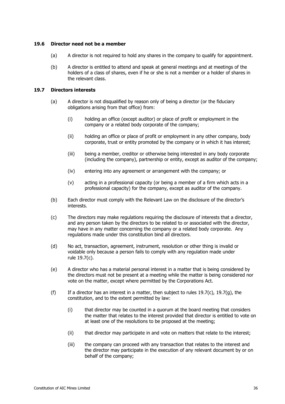#### **19.6 Director need not be a member**

- (a) A director is not required to hold any shares in the company to qualify for appointment.
- (b) A director is entitled to attend and speak at general meetings and at meetings of the holders of a class of shares, even if he or she is not a member or a holder of shares in the relevant class.

#### <span id="page-42-2"></span>**19.7 Directors interests**

- (a) A director is not disqualified by reason only of being a director (or the fiduciary obligations arising from that office) from:
	- (i) holding an office (except auditor) or place of profit or employment in the company or a related body corporate of the company;
	- (ii) holding an office or place of profit or employment in any other company, body corporate, trust or entity promoted by the company or in which it has interest;
	- (iii) being a member, creditor or otherwise being interested in any body corporate (including the company), partnership or entity, except as auditor of the company;
	- (iv) entering into any agreement or arrangement with the company; or
	- (v) acting in a professional capacity (or being a member of a firm which acts in a professional capacity) for the company, except as auditor of the company.
- <span id="page-42-1"></span>(b) Each director must comply with the Relevant Law on the disclosure of the director's interests.
- <span id="page-42-0"></span>(c) The directors may make regulations requiring the disclosure of interests that a director, and any person taken by the directors to be related to or associated with the director, may have in any matter concerning the company or a related body corporate. Any regulations made under this constitution bind all directors.
- (d) No act, transaction, agreement, instrument, resolution or other thing is invalid or voidable only because a person fails to comply with any regulation made under rule [19.7\(c\).](#page-42-0)
- (e) A director who has a material personal interest in a matter that is being considered by the directors must not be present at a meeting while the matter is being considered nor vote on the matter, except where permitted by the Corporations Act.
- (f) If a director has an interest in a matter, then subject to rules [19.7\(c\),](#page-42-0) [19.7\(g\),](#page-43-0) the constitution, and to the extent permitted by law:
	- (i) that director may be counted in a quorum at the board meeting that considers the matter that relates to the interest provided that director is entitled to vote on at least one of the resolutions to be proposed at the meeting;
	- (ii) that director may participate in and vote on matters that relate to the interest;
	- (iii) the company can proceed with any transaction that relates to the interest and the director may participate in the execution of any relevant document by or on behalf of the company;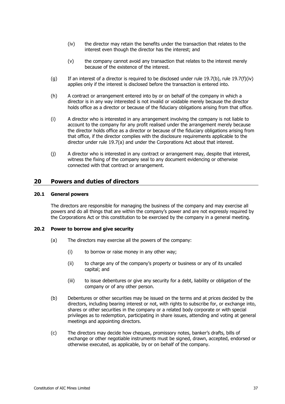- <span id="page-43-1"></span>(iv) the director may retain the benefits under the transaction that relates to the interest even though the director has the interest; and
- (v) the company cannot avoid any transaction that relates to the interest merely because of the existence of the interest.
- <span id="page-43-0"></span>(g) If an interest of a director is required to be disclosed under rule [19.7\(b\),](#page-42-1) rule [19.7\(f\)\(iv\)](#page-43-1) applies only if the interest is disclosed before the transaction is entered into.
- (h) A contract or arrangement entered into by or on behalf of the company in which a director is in any way interested is not invalid or voidable merely because the director holds office as a director or because of the fiduciary obligations arising from that office.
- (i) A director who is interested in any arrangement involving the company is not liable to account to the company for any profit realised under the arrangement merely because the director holds office as a director or because of the fiduciary obligations arising from that office, if the director complies with the disclosure requirements applicable to the director under rule [19.7\(a\)](#page-42-2) and under the Corporations Act about that interest.
- (j) A director who is interested in any contract or arrangement may, despite that interest, witness the fixing of the company seal to any document evidencing or otherwise connected with that contract or arrangement.

## **20 Powers and duties of directors**

#### **20.1 General powers**

The directors are responsible for managing the business of the company and may exercise all powers and do all things that are within the company's power and are not expressly required by the Corporations Act or this constitution to be exercised by the company in a general meeting.

#### **20.2 Power to borrow and give security**

- (a) The directors may exercise all the powers of the company:
	- (i) to borrow or raise money in any other way;
	- (ii) to charge any of the company's property or business or any of its uncalled capital; and
	- (iii) to issue debentures or give any security for a debt, liability or obligation of the company or of any other person.
- (b) Debentures or other securities may be issued on the terms and at prices decided by the directors, including bearing interest or not, with rights to subscribe for, or exchange into, shares or other securities in the company or a related body corporate or with special privileges as to redemption, participating in share issues, attending and voting at general meetings and appointing directors.
- (c) The directors may decide how cheques, promissory notes, banker's drafts, bills of exchange or other negotiable instruments must be signed, drawn, accepted, endorsed or otherwise executed, as applicable, by or on behalf of the company.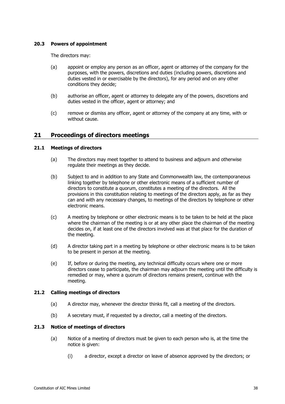#### **20.3 Powers of appointment**

The directors may:

- (a) appoint or employ any person as an officer, agent or attorney of the company for the purposes, with the powers, discretions and duties (including powers, discretions and duties vested in or exercisable by the directors), for any period and on any other conditions they decide;
- (b) authorise an officer, agent or attorney to delegate any of the powers, discretions and duties vested in the officer, agent or attorney; and
- (c) remove or dismiss any officer, agent or attorney of the company at any time, with or without cause.

## **21 Proceedings of directors meetings**

#### **21.1 Meetings of directors**

- (a) The directors may meet together to attend to business and adjourn and otherwise regulate their meetings as they decide.
- (b) Subject to and in addition to any State and Commonwealth law, the contemporaneous linking together by telephone or other electronic means of a sufficient number of directors to constitute a quorum, constitutes a meeting of the directors. All the provisions in this constitution relating to meetings of the directors apply, as far as they can and with any necessary changes, to meetings of the directors by telephone or other electronic means.
- (c) A meeting by telephone or other electronic means is to be taken to be held at the place where the chairman of the meeting is or at any other place the chairman of the meeting decides on, if at least one of the directors involved was at that place for the duration of the meeting.
- (d) A director taking part in a meeting by telephone or other electronic means is to be taken to be present in person at the meeting.
- (e) If, before or during the meeting, any technical difficulty occurs where one or more directors cease to participate, the chairman may adjourn the meeting until the difficulty is remedied or may, where a quorum of directors remains present, continue with the meeting.

#### **21.2 Calling meetings of directors**

- (a) A director may, whenever the director thinks fit, call a meeting of the directors.
- (b) A secretary must, if requested by a director, call a meeting of the directors.

#### **21.3 Notice of meetings of directors**

- (a) Notice of a meeting of directors must be given to each person who is, at the time the notice is given:
	- (i) a director, except a director on leave of absence approved by the directors; or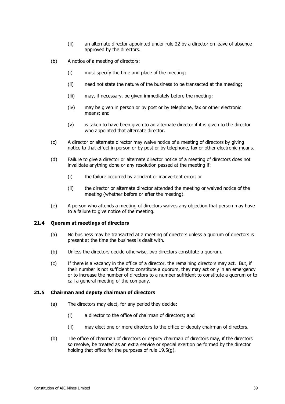- (ii) an alternate director appointed under rule [22](#page-47-0) by a director on leave of absence approved by the directors.
- (b) A notice of a meeting of directors:
	- (i) must specify the time and place of the meeting;
	- (ii) need not state the nature of the business to be transacted at the meeting;
	- (iii) may, if necessary, be given immediately before the meeting;
	- (iv) may be given in person or by post or by telephone, fax or other electronic means; and
	- (v) is taken to have been given to an alternate director if it is given to the director who appointed that alternate director.
- (c) A director or alternate director may waive notice of a meeting of directors by giving notice to that effect in person or by post or by telephone, fax or other electronic means.
- (d) Failure to give a director or alternate director notice of a meeting of directors does not invalidate anything done or any resolution passed at the meeting if:
	- (i) the failure occurred by accident or inadvertent error; or
	- (ii) the director or alternate director attended the meeting or waived notice of the meeting (whether before or after the meeting).
- (e) A person who attends a meeting of directors waives any objection that person may have to a failure to give notice of the meeting.

#### **21.4 Quorum at meetings of directors**

- (a) No business may be transacted at a meeting of directors unless a quorum of directors is present at the time the business is dealt with.
- (b) Unless the directors decide otherwise, two directors constitute a quorum.
- (c) If there is a vacancy in the office of a director, the remaining directors may act. But, if their number is not sufficient to constitute a quorum, they may act only in an emergency or to increase the number of directors to a number sufficient to constitute a quorum or to call a general meeting of the company.

#### **21.5 Chairman and deputy chairman of directors**

- (a) The directors may elect, for any period they decide:
	- (i) a director to the office of chairman of directors; and
	- (ii) may elect one or more directors to the office of deputy chairman of directors.
- (b) The office of chairman of directors or deputy chairman of directors may, if the directors so resolve, be treated as an extra service or special exertion performed by the director holding that office for the purposes of rule [19.5\(g\).](#page-41-1)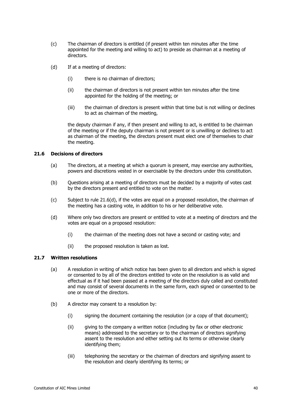- (c) The chairman of directors is entitled (if present within ten minutes after the time appointed for the meeting and willing to act) to preside as chairman at a meeting of directors.
- (d) If at a meeting of directors:
	- (i) there is no chairman of directors;
	- (ii) the chairman of directors is not present within ten minutes after the time appointed for the holding of the meeting; or
	- (iii) the chairman of directors is present within that time but is not willing or declines to act as chairman of the meeting,

the deputy chairman if any, if then present and willing to act, is entitled to be chairman of the meeting or if the deputy chairman is not present or is unwilling or declines to act as chairman of the meeting, the directors present must elect one of themselves to chair the meeting.

## **21.6 Decisions of directors**

- (a) The directors, at a meeting at which a quorum is present, may exercise any authorities, powers and discretions vested in or exercisable by the directors under this constitution.
- (b) Questions arising at a meeting of directors must be decided by a majority of votes cast by the directors present and entitled to vote on the matter.
- (c) Subject to rule [21.6\(d\),](#page-46-0) if the votes are equal on a proposed resolution, the chairman of the meeting has a casting vote, in addition to his or her deliberative vote.
- <span id="page-46-0"></span>(d) Where only two directors are present or entitled to vote at a meeting of directors and the votes are equal on a proposed resolution:
	- (i) the chairman of the meeting does not have a second or casting vote; and
	- (ii) the proposed resolution is taken as lost.

## **21.7 Written resolutions**

- (a) A resolution in writing of which notice has been given to all directors and which is signed or consented to by all of the directors entitled to vote on the resolution is as valid and effectual as if it had been passed at a meeting of the directors duly called and constituted and may consist of several documents in the same form, each signed or consented to be one or more of the directors.
- (b) A director may consent to a resolution by:
	- (i) signing the document containing the resolution (or a copy of that document);
	- (ii) giving to the company a written notice (including by fax or other electronic means) addressed to the secretary or to the chairman of directors signifying assent to the resolution and either setting out its terms or otherwise clearly identifying them;
	- (iii) telephoning the secretary or the chairman of directors and signifying assent to the resolution and clearly identifying its terms; or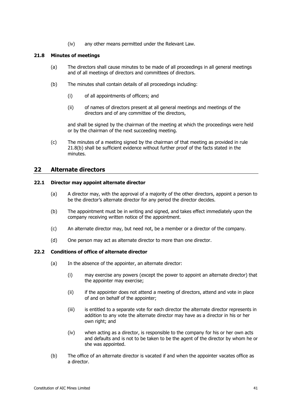(iv) any other means permitted under the Relevant Law.

#### **21.8 Minutes of meetings**

- (a) The directors shall cause minutes to be made of all proceedings in all general meetings and of all meetings of directors and committees of directors.
- <span id="page-47-1"></span>(b) The minutes shall contain details of all proceedings including:
	- (i) of all appointments of officers; and
	- (ii) of names of directors present at all general meetings and meetings of the directors and of any committee of the directors,

and shall be signed by the chairman of the meeting at which the proceedings were held or by the chairman of the next succeeding meeting.

(c) The minutes of a meeting signed by the chairman of that meeting as provided in rule [21.8\(b\)](#page-47-1) shall be sufficient evidence without further proof of the facts stated in the minutes.

## <span id="page-47-0"></span>**22 Alternate directors**

#### **22.1 Director may appoint alternate director**

- (a) A director may, with the approval of a majority of the other directors, appoint a person to be the director's alternate director for any period the director decides.
- (b) The appointment must be in writing and signed, and takes effect immediately upon the company receiving written notice of the appointment.
- (c) An alternate director may, but need not, be a member or a director of the company.
- (d) One person may act as alternate director to more than one director.

#### **22.2 Conditions of office of alternate director**

- (a) In the absence of the appointer, an alternate director:
	- (i) may exercise any powers (except the power to appoint an alternate director) that the appointer may exercise;
	- (ii) if the appointer does not attend a meeting of directors, attend and vote in place of and on behalf of the appointer;
	- (iii) is entitled to a separate vote for each director the alternate director represents in addition to any vote the alternate director may have as a director in his or her own right; and
	- (iv) when acting as a director, is responsible to the company for his or her own acts and defaults and is not to be taken to be the agent of the director by whom he or she was appointed.
- (b) The office of an alternate director is vacated if and when the appointer vacates office as a director.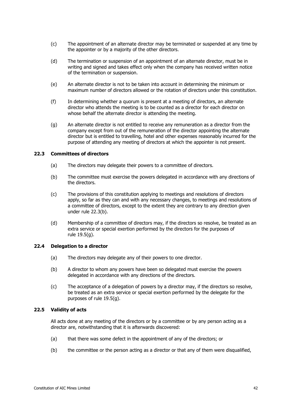- (c) The appointment of an alternate director may be terminated or suspended at any time by the appointer or by a majority of the other directors.
- (d) The termination or suspension of an appointment of an alternate director, must be in writing and signed and takes effect only when the company has received written notice of the termination or suspension.
- (e) An alternate director is not to be taken into account in determining the minimum or maximum number of directors allowed or the rotation of directors under this constitution.
- (f) In determining whether a quorum is present at a meeting of directors, an alternate director who attends the meeting is to be counted as a director for each director on whose behalf the alternate director is attending the meeting.
- (g) An alternate director is not entitled to receive any remuneration as a director from the company except from out of the remuneration of the director appointing the alternate director but is entitled to travelling, hotel and other expenses reasonably incurred for the purpose of attending any meeting of directors at which the appointer is not present.

#### <span id="page-48-0"></span>**22.3 Committees of directors**

- (a) The directors may delegate their powers to a committee of directors.
- (b) The committee must exercise the powers delegated in accordance with any directions of the directors.
- (c) The provisions of this constitution applying to meetings and resolutions of directors apply, so far as they can and with any necessary changes, to meetings and resolutions of a committee of directors, except to the extent they are contrary to any direction given under rule [22.3\(b\).](#page-48-0)
- (d) Membership of a committee of directors may, if the directors so resolve, be treated as an extra service or special exertion performed by the directors for the purposes of rule [19.5\(g\).](#page-41-1)

#### **22.4 Delegation to a director**

- (a) The directors may delegate any of their powers to one director.
- (b) A director to whom any powers have been so delegated must exercise the powers delegated in accordance with any directions of the directors.
- (c) The acceptance of a delegation of powers by a director may, if the directors so resolve, be treated as an extra service or special exertion performed by the delegate for the purposes of rule [19.5\(g\).](#page-41-1)

#### **22.5 Validity of acts**

All acts done at any meeting of the directors or by a committee or by any person acting as a director are, notwithstanding that it is afterwards discovered:

- (a) that there was some defect in the appointment of any of the directors; or
- (b) the committee or the person acting as a director or that any of them were disqualified,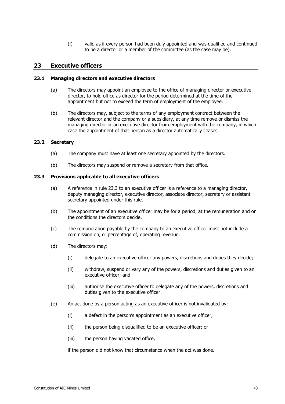(i) valid as if every person had been duly appointed and was qualified and continued to be a director or a member of the committee (as the case may be).

## **23 Executive officers**

#### **23.1 Managing directors and executive directors**

- (a) The directors may appoint an employee to the office of managing director or executive director, to hold office as director for the period determined at the time of the appointment but not to exceed the term of employment of the employee.
- (b) The directors may, subject to the terms of any employment contract between the relevant director and the company or a subsidiary, at any time remove or dismiss the managing director or an executive director from employment with the company, in which case the appointment of that person as a director automatically ceases.

#### **23.2 Secretary**

- (a) The company must have at least one secretary appointed by the directors.
- (b) The directors may suspend or remove a secretary from that office.

#### <span id="page-49-1"></span><span id="page-49-0"></span>**23.3 Provisions applicable to all executive officers**

- (a) A reference in rule [23.3](#page-49-0) to an executive officer is a reference to a managing director, deputy managing director, executive director, associate director, secretary or assistant secretary appointed under this rule.
- (b) The appointment of an executive officer may be for a period, at the remuneration and on the conditions the directors decide.
- (c) The remuneration payable by the company to an executive officer must not include a commission on, or percentage of, operating revenue.
- (d) The directors may:
	- (i) delegate to an executive officer any powers, discretions and duties they decide;
	- (ii) withdraw, suspend or vary any of the powers, discretions and duties given to an executive officer; and
	- (iii) authorise the executive officer to delegate any of the powers, discretions and duties given to the executive officer.
- (e) An act done by a person acting as an executive officer is not invalidated by:
	- (i) a defect in the person's appointment as an executive officer;
	- (ii) the person being disqualified to be an executive officer; or
	- (iii) the person having vacated office,

if the person did not know that circumstance when the act was done.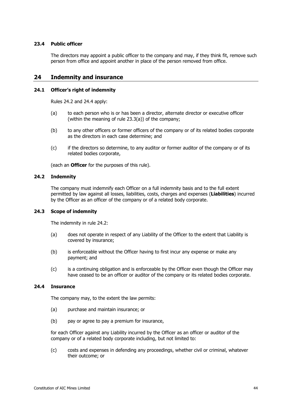#### **23.4 Public officer**

The directors may appoint a public officer to the company and may, if they think fit, remove such person from office and appoint another in place of the person removed from office.

## **24 Indemnity and insurance**

#### **24.1 Officer's right of indemnity**

Rules [24.2](#page-50-1) and [24.4](#page-50-0) apply:

- (a) to each person who is or has been a director, alternate director or executive officer (within the meaning of rule [23.3\(a\)\)](#page-49-1) of the company;
- (b) to any other officers or former officers of the company or of its related bodies corporate as the directors in each case determine; and
- (c) if the directors so determine, to any auditor or former auditor of the company or of its related bodies corporate,

(each an **Officer** for the purposes of this rule).

#### <span id="page-50-1"></span>**24.2 Indemnity**

The company must indemnify each Officer on a full indemnity basis and to the full extent permitted by law against all losses, liabilities, costs, charges and expenses (**Liabilities**) incurred by the Officer as an officer of the company or of a related body corporate.

#### **24.3 Scope of indemnity**

The indemnity in rule [24.2:](#page-50-1)

- (a) does not operate in respect of any Liability of the Officer to the extent that Liability is covered by insurance;
- (b) is enforceable without the Officer having to first incur any expense or make any payment; and
- (c) is a continuing obligation and is enforceable by the Officer even though the Officer may have ceased to be an officer or auditor of the company or its related bodies corporate.

#### <span id="page-50-0"></span>**24.4 Insurance**

The company may, to the extent the law permits:

- (a) purchase and maintain insurance; or
- (b) pay or agree to pay a premium for insurance,

for each Officer against any Liability incurred by the Officer as an officer or auditor of the company or of a related body corporate including, but not limited to:

(c) costs and expenses in defending any proceedings, whether civil or criminal, whatever their outcome; or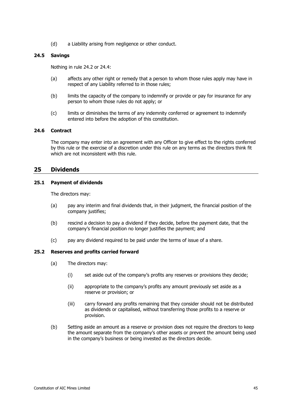(d) a Liability arising from negligence or other conduct.

#### **24.5 Savings**

Nothing in rule [24.2](#page-50-1) or [24.4:](#page-50-0)

- (a) affects any other right or remedy that a person to whom those rules apply may have in respect of any Liability referred to in those rules;
- (b) limits the capacity of the company to indemnify or provide or pay for insurance for any person to whom those rules do not apply; or
- (c) limits or diminishes the terms of any indemnity conferred or agreement to indemnify entered into before the adoption of this constitution.

#### **24.6 Contract**

The company may enter into an agreement with any Officer to give effect to the rights conferred by this rule or the exercise of a discretion under this rule on any terms as the directors think fit which are not inconsistent with this rule.

#### **25 Dividends**

#### **25.1 Payment of dividends**

The directors may:

- (a) pay any interim and final dividends that, in their judgment, the financial position of the company justifies;
- (b) rescind a decision to pay a dividend if they decide, before the payment date, that the company's financial position no longer justifies the payment; and
- (c) pay any dividend required to be paid under the terms of issue of a share.

#### **25.2 Reserves and profits carried forward**

- (a) The directors may:
	- (i) set aside out of the company's profits any reserves or provisions they decide;
	- (ii) appropriate to the company's profits any amount previously set aside as a reserve or provision; or
	- (iii) carry forward any profits remaining that they consider should not be distributed as dividends or capitalised, without transferring those profits to a reserve or provision.
- (b) Setting aside an amount as a reserve or provision does not require the directors to keep the amount separate from the company's other assets or prevent the amount being used in the company's business or being invested as the directors decide.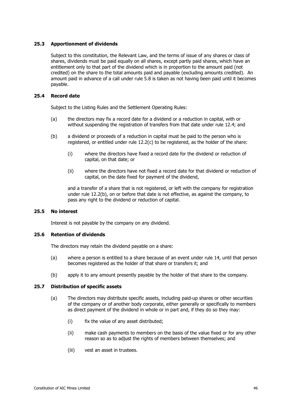#### **25.3 Apportionment of dividends**

Subject to this constitution, the Relevant Law, and the terms of issue of any shares or class of shares, dividends must be paid equally on all shares, except partly paid shares, which have an entitlement only to that part of the dividend which is in proportion to the amount paid (not credited) on the share to the total amounts paid and payable (excluding amounts credited). An amount paid in advance of a call under rule [5.8](#page-15-0) is taken as not having been paid until it becomes payable.

#### **25.4 Record date**

Subject to the Listing Rules and the Settlement Operating Rules:

- (a) the directors may fix a record date for a dividend or a reduction in capital, with or without suspending the registration of transfers from that date under rule [12.4;](#page-22-2) and
- (b) a dividend or proceeds of a reduction in capital must be paid to the person who is registered, or entitled under rule [12.2\(c\)](#page-21-3) to be registered, as the holder of the share:
	- (i) where the directors have fixed a record date for the dividend or reduction of capital, on that date; or
	- (ii) where the directors have not fixed a record date for that dividend or reduction of capital, on the date fixed for payment of the dividend,

and a transfer of a share that is not registered, or left with the company for registration under rule [12.2\(b\),](#page-21-4) on or before that date is not effective, as against the company, to pass any right to the dividend or reduction of capital.

#### **25.5 No interest**

Interest is not payable by the company on any dividend.

#### **25.6 Retention of dividends**

The directors may retain the dividend payable on a share:

- (a) where a person is entitled to a share because of an event under rule [14,](#page-23-0) until that person becomes registered as the holder of that share or transfers it; and
- (b) apply it to any amount presently payable by the holder of that share to the company.

#### **25.7 Distribution of specific assets**

- (a) The directors may distribute specific assets, including paid-up shares or other securities of the company or of another body corporate, either generally or specifically to members as direct payment of the dividend in whole or in part and, if they do so they may:
	- (i) fix the value of any asset distributed;
	- (ii) make cash payments to members on the basis of the value fixed or for any other reason so as to adjust the rights of members between themselves; and
	- (iii) vest an asset in trustees.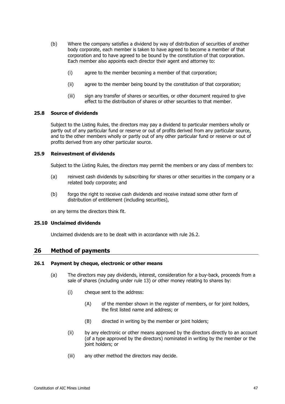- (b) Where the company satisfies a dividend by way of distribution of securities of another body corporate, each member is taken to have agreed to become a member of that corporation and to have agreed to be bound by the constitution of that corporation. Each member also appoints each director their agent and attorney to:
	- (i) agree to the member becoming a member of that corporation;
	- (ii) agree to the member being bound by the constitution of that corporation;
	- (iii) sign any transfer of shares or securities, or other document required to give effect to the distribution of shares or other securities to that member.

#### **25.8 Source of dividends**

Subject to the Listing Rules, the directors may pay a dividend to particular members wholly or partly out of any particular fund or reserve or out of profits derived from any particular source, and to the other members wholly or partly out of any other particular fund or reserve or out of profits derived from any other particular source.

#### **25.9 Reinvestment of dividends**

Subject to the Listing Rules, the directors may permit the members or any class of members to:

- (a) reinvest cash dividends by subscribing for shares or other securities in the company or a related body corporate; and
- (b) forgo the right to receive cash dividends and receive instead some other form of distribution of entitlement (including securities),

on any terms the directors think fit.

#### **25.10 Unclaimed dividends**

Unclaimed dividends are to be dealt with in accordance with rule [26.2.](#page-54-0)

## <span id="page-53-3"></span>**26 Method of payments**

#### <span id="page-53-2"></span>**26.1 Payment by cheque, electronic or other means**

- <span id="page-53-1"></span><span id="page-53-0"></span>(a) The directors may pay dividends, interest, consideration for a buy-back, proceeds from a sale of shares (including under rule [13\)](#page-22-0) or other money relating to shares by:
	- (i) cheque sent to the address:
		- (A) of the member shown in the register of members, or for joint holders, the first listed name and address; or
		- (B) directed in writing by the member or joint holders;
	- (ii) by any electronic or other means approved by the directors directly to an account (of a type approved by the directors) nominated in writing by the member or the joint holders; or
	- (iii) any other method the directors may decide.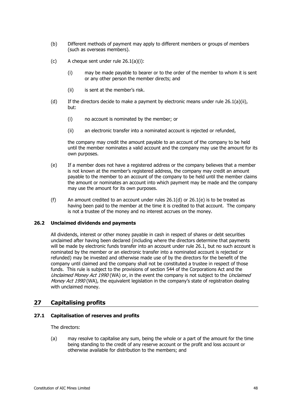- (b) Different methods of payment may apply to different members or groups of members (such as overseas members).
- (c) A cheque sent under rule [26.1\(a\)\(i\):](#page-53-0)
	- (i) may be made payable to bearer or to the order of the member to whom it is sent or any other person the member directs; and
	- (ii) is sent at the member's risk.
- <span id="page-54-1"></span>(d) If the directors decide to make a payment by electronic means under rule  $26.1(a)(ii)$ , but:
	- (i) no account is nominated by the member; or
	- (ii) an electronic transfer into a nominated account is rejected or refunded,

the company may credit the amount payable to an account of the company to be held until the member nominates a valid account and the company may use the amount for its own purposes.

- <span id="page-54-2"></span>(e) If a member does not have a registered address or the company believes that a member is not known at the member's registered address, the company may credit an amount payable to the member to an account of the company to be held until the member claims the amount or nominates an account into which payment may be made and the company may use the amount for its own purposes.
- (f) An amount credited to an account under rules  $26.1(d)$  or  $26.1(e)$  is to be treated as having been paid to the member at the time it is credited to that account. The company is not a trustee of the money and no interest accrues on the money.

#### <span id="page-54-0"></span>**26.2 Unclaimed dividends and payments**

All dividends, interest or other money payable in cash in respect of shares or debt securities unclaimed after having been declared (including where the directors determine that payments will be made by electronic funds transfer into an account under rule [26.1,](#page-53-2) but no such account is nominated by the member or an electronic transfer into a nominated account is rejected or refunded) may be invested and otherwise made use of by the directors for the benefit of the company until claimed and the company shall not be constituted a trustee in respect of those funds. This rule is subject to the provisions of section 544 of the Corporations Act and the Unclaimed Money Act 1990 (WA) or, in the event the company is not subject to the Unclaimed Money Act 1990 (WA), the equivalent legislation in the company's state of registration dealing with unclaimed money.

## **27 Capitalising profits**

#### <span id="page-54-3"></span>**27.1 Capitalisation of reserves and profits**

The directors:

(a) may resolve to capitalise any sum, being the whole or a part of the amount for the time being standing to the credit of any reserve account or the profit and loss account or otherwise available for distribution to the members; and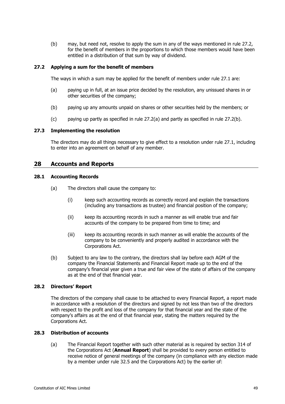(b) may, but need not, resolve to apply the sum in any of the ways mentioned in rule [27.2,](#page-55-0) for the benefit of members in the proportions to which those members would have been entitled in a distribution of that sum by way of dividend.

#### <span id="page-55-1"></span><span id="page-55-0"></span>**27.2 Applying a sum for the benefit of members**

The ways in which a sum may be applied for the benefit of members under rule [27.1](#page-54-3) are:

- (a) paying up in full, at an issue price decided by the resolution, any unissued shares in or other securities of the company;
- <span id="page-55-2"></span>(b) paying up any amounts unpaid on shares or other securities held by the members; or
- (c) paying up partly as specified in rule [27.2\(a\)](#page-55-1) and partly as specified in rule [27.2\(b\).](#page-55-2)

#### **27.3 Implementing the resolution**

The directors may do all things necessary to give effect to a resolution under rule [27.1,](#page-54-3) including to enter into an agreement on behalf of any member.

## **28 Accounts and Reports**

#### **28.1 Accounting Records**

- (a) The directors shall cause the company to:
	- (i) keep such accounting records as correctly record and explain the transactions (including any transactions as trustee) and financial position of the company;
	- (ii) keep its accounting records in such a manner as will enable true and fair accounts of the company to be prepared from time to time; and
	- (iii) keep its accounting records in such manner as will enable the accounts of the company to be conveniently and properly audited in accordance with the Corporations Act.
- (b) Subject to any law to the contrary, the directors shall lay before each AGM of the company the Financial Statements and Financial Report made up to the end of the company's financial year given a true and fair view of the state of affairs of the company as at the end of that financial year.

#### **28.2 Directors' Report**

The directors of the company shall cause to be attached to every Financial Report, a report made in accordance with a resolution of the directors and signed by not less than two of the directors with respect to the profit and loss of the company for that financial year and the state of the company's affairs as at the end of that financial year, stating the matters required by the Corporations Act.

#### <span id="page-55-3"></span>**28.3 Distribution of accounts**

(a) The Financial Report together with such other material as is required by section 314 of the Corporations Act (**Annual Report**) shall be provided to every person entitled to receive notice of general meetings of the company (in compliance with any election made by a member under rule [32.5](#page-60-0) and the Corporations Act) by the earlier of: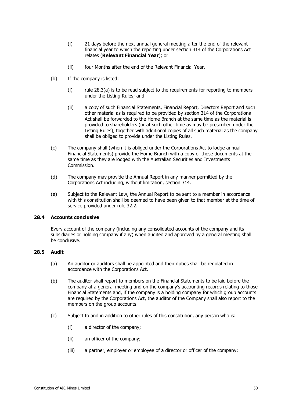- (i) 21 days before the next annual general meeting after the end of the relevant financial year to which the reporting under section 314 of the Corporations Act relates (**Relevant Financial Year**); or
- (ii) four Months after the end of the Relevant Financial Year.
- (b) If the company is listed:
	- $(i)$  rule [28.3\(a\)](#page-55-3) is to be read subject to the requirements for reporting to members under the Listing Rules; and
	- (ii) a copy of such Financial Statements, Financial Report, Directors Report and such other material as is required to be provided by section 314 of the Corporations Act shall be forwarded to the Home Branch at the same time as the material is provided to shareholders (or at such other time as may be prescribed under the Listing Rules), together with additional copies of all such material as the company shall be obliged to provide under the Listing Rules.
- (c) The company shall (when it is obliged under the Corporations Act to lodge annual Financial Statements) provide the Home Branch with a copy of those documents at the same time as they are lodged with the Australian Securities and Investments Commission.
- (d) The company may provide the Annual Report in any manner permitted by the Corporations Act including, without limitation, section 314.
- (e) Subject to the Relevant Law, the Annual Report to be sent to a member in accordance with this constitution shall be deemed to have been given to that member at the time of service provided under rule [32.2.](#page-60-1)

#### **28.4 Accounts conclusive**

Every account of the company (including any consolidated accounts of the company and its subsidiaries or holding company if any) when audited and approved by a general meeting shall be conclusive.

#### **28.5 Audit**

- (a) An auditor or auditors shall be appointed and their duties shall be regulated in accordance with the Corporations Act.
- (b) The auditor shall report to members on the Financial Statements to be laid before the company at a general meeting and on the company's accounting records relating to those Financial Statements and, if the company is a holding company for which group accounts are required by the Corporations Act, the auditor of the Company shall also report to the members on the group accounts.
- (c) Subject to and in addition to other rules of this constitution, any person who is:
	- (i) a director of the company;
	- (ii) an officer of the company;
	- (iii) a partner, employer or employee of a director or officer of the company;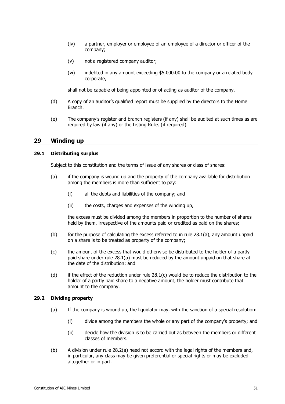- (iv) a partner, employer or employee of an employee of a director or officer of the company;
- (v) not a registered company auditor;
- (vi) indebted in any amount exceeding \$5,000.00 to the company or a related body corporate,

shall not be capable of being appointed or of acting as auditor of the company.

- (d) A copy of an auditor's qualified report must be supplied by the directors to the Home Branch.
- (e) The company's register and branch registers (if any) shall be audited at such times as are required by law (if any) or the Listing Rules (if required).

## **29 Winding up**

#### <span id="page-57-0"></span>**29.1 Distributing surplus**

Subject to this constitution and the terms of issue of any shares or class of shares:

- (a) if the company is wound up and the property of the company available for distribution among the members is more than sufficient to pay:
	- (i) all the debts and liabilities of the company; and
	- (ii) the costs, charges and expenses of the winding up,

the excess must be divided among the members in proportion to the number of shares held by them, irrespective of the amounts paid or credited as paid on the shares;

- (b) for the purpose of calculating the excess referred to in rule  $28.1(a)$ , any amount unpaid on a share is to be treated as property of the company;
- <span id="page-57-1"></span>(c) the amount of the excess that would otherwise be distributed to the holder of a partly paid share under rule [28.1\(a\)](#page-57-0) must be reduced by the amount unpaid on that share at the date of the distribution; and
- (d) if the effect of the reduction under rule [28.1\(c\)](#page-57-1) would be to reduce the distribution to the holder of a partly paid share to a negative amount, the holder must contribute that amount to the company.

#### <span id="page-57-3"></span><span id="page-57-2"></span>**29.2 Dividing property**

- (a) If the company is wound up, the liquidator may, with the sanction of a special resolution:
	- (i) divide among the members the whole or any part of the company's property; and
	- (ii) decide how the division is to be carried out as between the members or different classes of members.
- (b) A division under rule [28.2\(a\)](#page-57-2) need not accord with the legal rights of the members and, in particular, any class may be given preferential or special rights or may be excluded altogether or in part.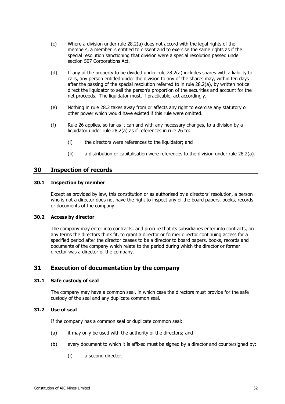- (c) Where a division under rule 28.2(a) does not accord with the legal rights of the members, a member is enti[tled to di](#page-57-2)ssent and to exercise the same rights as if the special resolution sanctioning that division were a special resolution passed under section 507 Corporations Act.
- (d) If any of the property to be divided under rule [28.2\(a\)](#page-57-2) includes shares with a liability to calls, any person entitled under the division to any of the shares may, within ten days after the passing of the special resolution referred to in rule [28.2\(a\),](#page-57-2) by written notice direct the liquidator to sell the person's proportion of the securities and account for the net proceeds. The liquidator must, if practicable, act accordingly.
- (e) Nothing in rule [28.2](#page-57-3) takes away from or affects any right to exercise any statutory or other power which would have existed if this rule were omitted.
- (f) Rule [26](#page-53-3) applies, so far as it can and with any necessary changes, to a division by a liquidator under rule [28.2\(a\)](#page-57-2) as if references in rule [26](#page-53-3) to:
	- (i) the directors were references to the liquidator; and
	- (ii) a distribution or capitalisation were references to the division under rule [28.2\(a\).](#page-57-2)

## **30 Inspection of records**

#### **30.1 Inspection by member**

Except as provided by law, this constitution or as authorised by a directors' resolution, a person who is not a director does not have the right to inspect any of the board papers, books, records or documents of the company.

#### **30.2 Access by director**

The company may enter into contracts, and procure that its subsidiaries enter into contracts, on any terms the directors think fit, to grant a director or former director continuing access for a specified period after the director ceases to be a director to board papers, books, records and documents of the company which relate to the period during which the director or former director was a director of the company.

## **31 Execution of documentation by the company**

#### **31.1 Safe custody of seal**

The company may have a common seal, in which case the directors must provide for the safe custody of the seal and any duplicate common seal.

#### **31.2 Use of seal**

If the company has a common seal or duplicate common seal:

- (a) it may only be used with the authority of the directors; and
- (b) every document to which it is affixed must be signed by a director and countersigned by:
	- (i) a second director;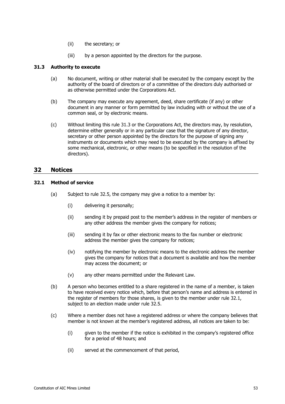- (ii) the secretary; or
- (iii) by a person appointed by the directors for the purpose.

#### <span id="page-59-0"></span>**31.3 Authority to execute**

- (a) No document, writing or other material shall be executed by the company except by the authority of the board of directors or of a committee of the directors duly authorised or as otherwise permitted under the Corporations Act.
- (b) The company may execute any agreement, deed, share certificate (if any) or other document in any manner or form permitted by law including with or without the use of a common seal, or by electronic means.
- (c) Without limiting this rule [31.3](#page-59-0) or the Corporations Act, the directors may, by resolution, determine either generally or in any particular case that the signature of any director, secretary or other person appointed by the directors for the purpose of signing any instruments or documents which may need to be executed by the company is affixed by some mechanical, electronic, or other means (to be specified in the resolution of the directors).

## **32 Notices**

#### <span id="page-59-1"></span>**32.1 Method of service**

- (a) Subject to rule [32.5,](#page-60-0) the company may give a notice to a member by:
	- (i) delivering it personally;
	- (ii) sending it by prepaid post to the member's address in the register of members or any other address the member gives the company for notices;
	- (iii) sending it by fax or other electronic means to the fax number or electronic address the member gives the company for notices;
	- (iv) notifying the member by electronic means to the electronic address the member gives the company for notices that a document is available and how the member may access the document; or
	- (v) any other means permitted under the Relevant Law.
- (b) A person who becomes entitled to a share registered in the name of a member, is taken to have received every notice which, before that person's name and address is entered in the register of members for those shares, is given to the member under rule [32.1,](#page-59-1) subject to an election made under rule [32.5.](#page-60-0)
- (c) Where a member does not have a registered address or where the company believes that member is not known at the member's registered address, all notices are taken to be:
	- (i) given to the member if the notice is exhibited in the company's registered office for a period of 48 hours; and
	- (ii) served at the commencement of that period,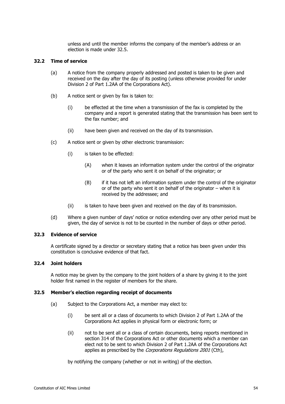unless and until the member informs the company of the member's address or an election is made under [32.5.](#page-60-0)

#### <span id="page-60-1"></span>**32.2 Time of service**

- (a) A notice from the company properly addressed and posted is taken to be given and received on the day after the day of its posting (unless otherwise provided for under Division 2 of Part 1.2AA of the Corporations Act).
- (b) A notice sent or given by fax is taken to:
	- (i) be effected at the time when a transmission of the fax is completed by the company and a report is generated stating that the transmission has been sent to the fax number; and
	- (ii) have been given and received on the day of its transmission.
- (c) A notice sent or given by other electronic transmission:
	- (i) is taken to be effected:
		- (A) when it leaves an information system under the control of the originator or of the party who sent it on behalf of the originator; or
		- (B) if it has not left an information system under the control of the originator or of the party who sent it on behalf of the originator – when it is received by the addressee; and
	- (ii) is taken to have been given and received on the day of its transmission.
- (d) Where a given number of days' notice or notice extending over any other period must be given, the day of service is not to be counted in the number of days or other period.

#### **32.3 Evidence of service**

A certificate signed by a director or secretary stating that a notice has been given under this constitution is conclusive evidence of that fact.

#### <span id="page-60-5"></span>**32.4 Joint holders**

A notice may be given by the company to the joint holders of a share by giving it to the joint holder first named in the register of members for the share.

#### <span id="page-60-3"></span><span id="page-60-2"></span><span id="page-60-0"></span>**32.5 Member's election regarding receipt of documents**

- <span id="page-60-4"></span>(a) Subject to the Corporations Act, a member may elect to:
	- (i) be sent all or a class of documents to which Division 2 of Part 1.2AA of the Corporations Act applies in physical form or electronic form; or
	- (ii) not to be sent all or a class of certain documents, being reports mentioned in section 314 of the Corporations Act or other documents which a member can elect not to be sent to which Division 2 of Part 1.2AA of the Corporations Act applies as prescribed by the *Corporations Regulations 2001* (Cth),

by notifying the company (whether or not in writing) of the election.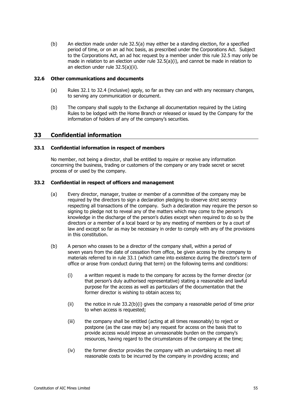(b) An election made under rule [32.5\(a\)](#page-60-2) may either be a standing election, for a specified period of time, or on an ad hoc basis, as prescribed under the Corporations Act. Subject to the Corporations Act, an ad hoc request by a member under this rule [32.5](#page-60-0) may only be made in relation to an election under rule  $32.5(a)(i)$ , and cannot be made in relation to an election under rule [32.5\(a\)\(ii\).](#page-60-4)

#### **32.6 Other communications and documents**

- (a) Rules [32.1](#page-59-1) to [32.4](#page-60-5) (inclusive) apply, so far as they can and with any necessary changes, to serving any communication or document.
- (b) The company shall supply to the Exchange all documentation required by the Listing Rules to be lodged with the Home Branch or released or issued by the Company for the information of holders of any of the company's securities.

## **33 Confidential information**

#### <span id="page-61-0"></span>**33.1 Confidential information in respect of members**

No member, not being a director, shall be entitled to require or receive any information concerning the business, trading or customers of the company or any trade secret or secret process of or used by the company.

#### <span id="page-61-2"></span>**33.2 Confidential in respect of officers and management**

- (a) Every director, manager, trustee or member of a committee of the company may be required by the directors to sign a declaration pledging to observe strict secrecy respecting all transactions of the company. Such a declaration may require the person so signing to pledge not to reveal any of the matters which may come to the person's knowledge in the discharge of the person's duties except when required to do so by the directors or a member of a local board or by any meeting of members or by a court of law and except so far as may be necessary in order to comply with any of the provisions in this constitution.
- <span id="page-61-1"></span>(b) A person who ceases to be a director of the company shall, within a period of seven years from the date of cessation from office, be given access by the company to materials referred to in rule [33.1](#page-61-0) (which came into existence during the director's term of office or arose from conduct during that term) on the following terms and conditions:
	- (i) a written request is made to the company for access by the former director (or that person's duly authorised representative) stating a reasonable and lawful purpose for the access as well as particulars of the documentation that the former director is wishing to obtain access to;
	- $(i)$  the notice in rule 33.2(b) $(i)$  gives the company a reasonable period of time prior to when access is requested;
	- (iii) the company shall be entitled (acting at all times reasonably) to reject or postpone (as the case may be) any request for access on the basis that to provide access would impose an unreasonable burden on the company's resources, having regard to the circumstances of the company at the time;
	- (iv) the former director provides the company with an undertaking to meet all reasonable costs to be incurred by the company in providing access; and